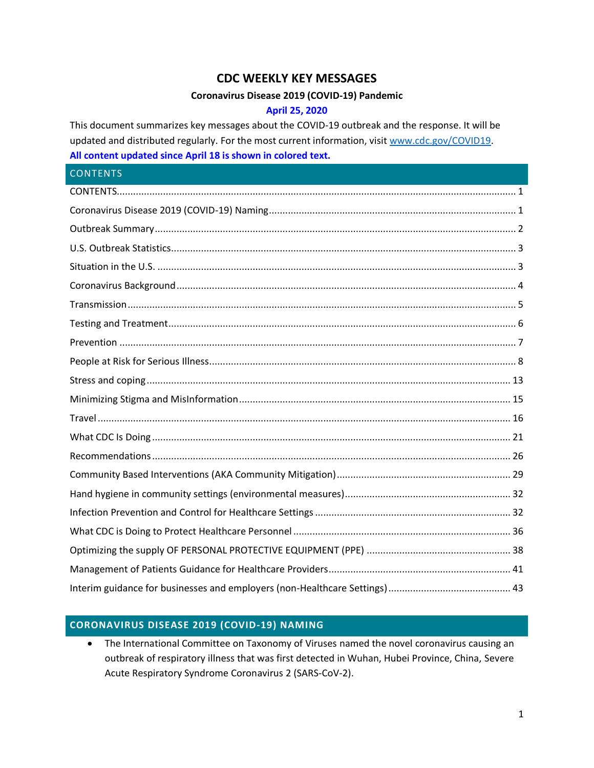# **CDC WEEKLY KEY MESSAGES**

#### **Coronavirus Disease 2019 (COVID-19) Pandemic**

#### **April 25, 2020**

This document summarizes key messages about the COVID-19 outbreak and the response. It will be updated and distributed regularly. For the most current information, visi[t www.cdc.gov/COVID19.](http://www.cdc.gov/COVID19) **All content updated since April 18 is shown in colored text.**

# <span id="page-0-0"></span>**CONTENTS** [CONTENTS...................................................................................................................................................](#page-0-0) 1 [Coronavirus Disease 2019 \(COVID-19\) Naming...........................................................................................](#page-0-1) 1 [Outbreak Summary.....................................................................................................................................](#page-1-0) 2 [U.S. Outbreak Statistics...............................................................................................................................](#page-2-0) 3 Situation in the U.S. [....................................................................................................................................](#page-2-1) 3 [Coronavirus Background.............................................................................................................................](#page-3-0) 4 [Transmission...............................................................................................................................................](#page-4-0) 5 Testing [and Treatment................................................................................................................................](#page-5-0) 6 Prevention [..................................................................................................................................................](#page-6-0) 7 [People at Risk for Serious Illness.................................................................................................................](#page-7-0) 8 [Stress and coping......................................................................................................................................](#page-12-0) 13 [Minimizing Stigma and MisInformation....................................................................................................](#page-14-0) 15 Travel [........................................................................................................................................................](#page-15-0) 16 What CDC Is Doing [....................................................................................................................................](#page-20-0) 21 [Recommendations....................................................................................................................................](#page-25-0) 26 [Community Based Interventions \(AKA Community Mitigation\)................................................................](#page-28-0) 29 [Hand hygiene in community settings \(environmental measures\).............................................................](#page-31-0) 32 [Infection Prevention and Control for Healthcare Settings........................................................................](#page-31-1) 32 [What CDC is Doing to Protect Healthcare Personnel](#page-35-0) ................................................................................ 36 [Optimizing the supply OF PERSONAL PROTECTIVE EQUIPMENT \(PPE\)](#page-37-0) ..................................................... 38 [Management of Patients Guidance for Healthcare Providers...................................................................](#page-40-0) 41 [Interim guidance for businesses and employers \(non-Healthcare Settings\).............................................](#page-42-0) 43

# <span id="page-0-1"></span>**CORONAVIRUS DISEASE 2019 (COVID-19) NAMING**

• The International Committee on Taxonomy of Viruses named the novel coronavirus causing an outbreak of respiratory illness that was first detected in Wuhan, Hubei Province, China, Severe Acute Respiratory Syndrome Coronavirus 2 (SARS-CoV-2).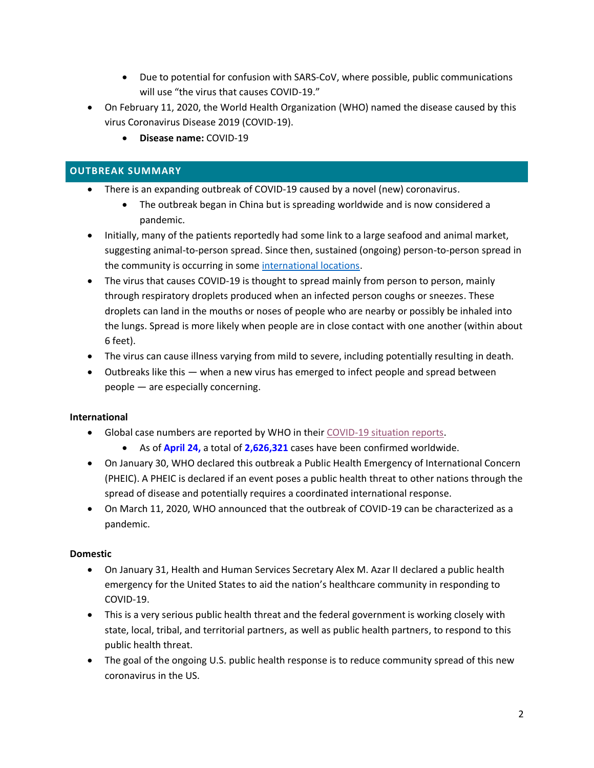- Due to potential for confusion with SARS-CoV, where possible, public communications will use "the virus that causes COVID-19."
- On February 11, 2020, the World Health Organization (WHO) named the disease caused by this virus Coronavirus Disease 2019 (COVID-19).
	- **Disease name:** COVID-19

# <span id="page-1-0"></span>**OUTBREAK SUMMARY**

- There is an expanding outbreak of COVID-19 caused by a novel (new) coronavirus.
	- The outbreak began in China but is spreading worldwide and is now considered a pandemic.
- Initially, many of the patients reportedly had some link to a large seafood and animal market, suggesting animal-to-person spread. Since then, sustained (ongoing) person-to-person spread in the community is occurring in some [international locations.](https://www.cdc.gov/coronavirus/2019-ncov/travelers/index.html)
- The virus that causes COVID-19 is thought to spread mainly from person to person, mainly through respiratory droplets produced when an infected person coughs or sneezes. These droplets can land in the mouths or noses of people who are nearby or possibly be inhaled into the lungs. Spread is more likely when people are in close contact with one another (within about 6 feet).
- The virus can cause illness varying from mild to severe, including potentially resulting in death.
- Outbreaks like this when a new virus has emerged to infect people and spread between people — are especially concerning.

# **International**

- Global case numbers are reported by WHO in their [COVID-19 situation reports.](https://www.who.int/emergencies/diseases/novel-coronavirus-2019/situation-reports/)
	- As of **April 24,** a total of **2,626,321** cases have been confirmed worldwide.
- On January 30, WHO declared this outbreak a Public Health Emergency of International Concern (PHEIC). A PHEIC is declared if an event poses a public health threat to other nations through the spread of disease and potentially requires a coordinated international response.
- On March 11, 2020, WHO announced that the outbreak of COVID-19 can be characterized as a pandemic.

# **Domestic**

- On January 31, Health and Human Services Secretary Alex M. Azar II declared a public health emergency for the United States to aid the nation's healthcare community in responding to COVID-19.
- This is a very serious public health threat and the federal government is working closely with state, local, tribal, and territorial partners, as well as public health partners, to respond to this public health threat.
- The goal of the ongoing U.S. public health response is to reduce community spread of this new coronavirus in the US.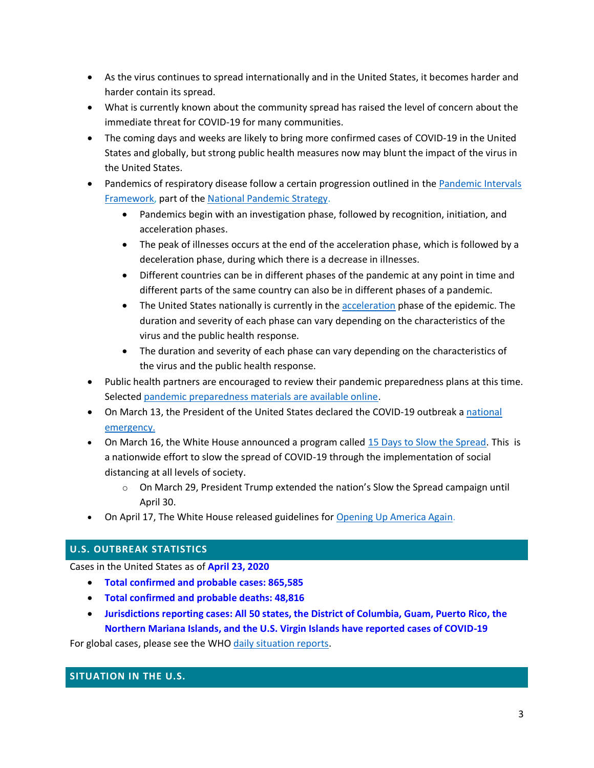- As the virus continues to spread internationally and in the United States, it becomes harder and harder contain its spread.
- What is currently known about the community spread has raised the level of concern about the immediate threat for COVID-19 for many communities.
- The coming days and weeks are likely to bring more confirmed cases of COVID-19 in the United States and globally, but strong public health measures now may blunt the impact of the virus in the United States.
- Pandemics of respiratory disease follow a certain progression outlined in th[e Pandemic Intervals](https://www.cdc.gov/flu/pandemic-resources/national-strategy/intervals-framework.html) [Framework,](https://www.cdc.gov/flu/pandemic-resources/national-strategy/intervals-framework.html) part of the [National Pandemic Strategy.](https://www.cdc.gov/flu/pandemic-resources/national-strategy/index.html)
	- Pandemics begin with an investigation phase, followed by recognition, initiation, and acceleration phases.
	- The peak of illnesses occurs at the end of the acceleration phase, which is followed by a deceleration phase, during which there is a decrease in illnesses.
	- Different countries can be in different phases of the pandemic at any point in time and different parts of the same country can also be in different phases of a pandemic.
	- The United States nationally is currently in the **acceleration** phase of the epidemic. The duration and severity of each phase can vary depending on the characteristics of the virus and the public health response.
	- The duration and severity of each phase can vary depending on the characteristics of the virus and the public health response.
- Public health partners are encouraged to review their pandemic preparedness plans at this time. Selected [pandemic preparedness materials are available online.](http://www.cdc.gov/coronavirus/2019-ncov/php/pandemic-preparedness-resources.html)
- On March 13, the President of the United States declared the COVID-19 outbreak a [national](https://www.whitehouse.gov/presidential-actions/proclamation-declaring-national-emergency-concerning-novel-coronavirus-disease-covid-19-outbreak/) [emergency.](https://www.whitehouse.gov/presidential-actions/proclamation-declaring-national-emergency-concerning-novel-coronavirus-disease-covid-19-outbreak/)
- On March 16, the White House announced a program called [15 Days to Slow the Spread.](https://www.whitehouse.gov/wp-content/uploads/2020/03/03.16.20_coronavirus-guidance_8.5x11_315PM.pdf) This is a nationwide effort to slow the spread of COVID-19 through the implementation of social distancing at all levels of society.
	- $\circ$  On March 29, President Trump extended the nation's Slow the Spread campaign until April 30.
- On April 17, The White House released guidelines for [Opening Up America Again.](https://www.whitehouse.gov/openingamerica/)

# <span id="page-2-0"></span>**U.S. OUTBREAK STATISTICS**

Cases in the United States as of **April 23, 2020**

- **Total confirmed and probable cases: 865,585**
- **Total confirmed and probable deaths: 48,816**
- **Jurisdictions reporting cases: All 50 states, the District of Columbia, Guam, Puerto Rico, the Northern Mariana Islands, and the U.S. Virgin Islands have reported cases of COVID-19**

For global cases, please see the WHO [daily situation reports.](https://www.who.int/emergencies/diseases/novel-coronavirus-2019/situation-reports/)

#### <span id="page-2-1"></span>**SITUATION IN THE U.S.**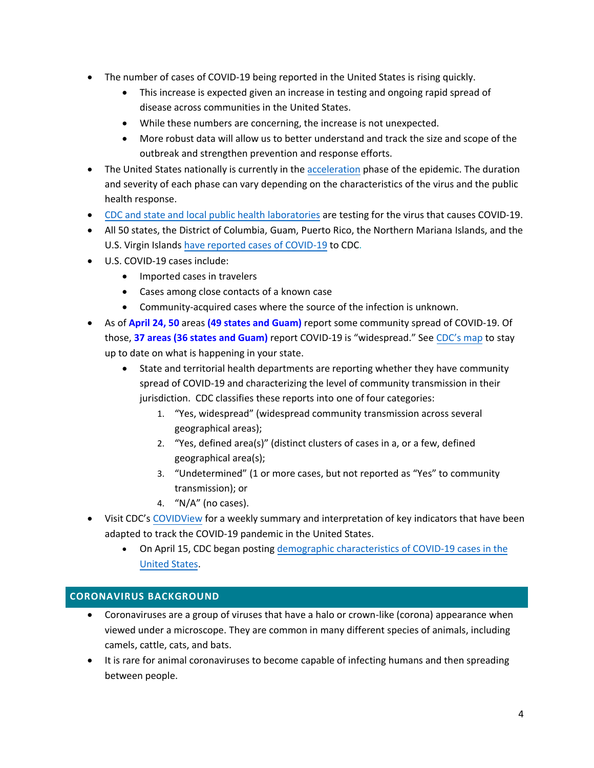- The number of cases of COVID-19 being reported in the United States is rising quickly.
	- This increase is expected given an increase in testing and ongoing rapid spread of disease across communities in the United States.
	- While these numbers are concerning, the increase is not unexpected.
	- More robust data will allow us to better understand and track the size and scope of the outbreak and strengthen prevention and response efforts.
- The United States nationally is currently in the [acceleration](https://www.cdc.gov/flu/pandemic-resources/national-strategy/intervals-framework.html) phase of the epidemic. The duration and severity of each phase can vary depending on the characteristics of the virus and the public health response.
- [CDC and state and local public health laboratories](https://www.cdc.gov/coronavirus/2019-ncov/testing-in-us.html) are testing for the virus that causes COVID-19.
- All 50 states, the District of Columbia, Guam, Puerto Rico, the Northern Mariana Islands, and the U.S. Virgin Islands [have reported cases of COVID-19](https://www.cdc.gov/coronavirus/2019-ncov/cases-updates/cases-in-us.html) to CDC.
- U.S. COVID-19 cases include:
	- Imported cases in travelers
	- Cases among close contacts of a known case
	- Community-acquired cases where the source of the infection is unknown.
- As of **April 24, 50** areas **(49 states and Guam)** report some community spread of COVID-19. Of those, **37 areas (36 states and Guam)** report COVID-19 is "widespread." See [CDC's map](https://www.cdc.gov/coronavirus/2019-ncov/cases-updates/cases-in-us.html) to stay up to date on what is happening in your state.
	- State and territorial health departments are reporting whether they have community spread of COVID-19 and characterizing the level of community transmission in their jurisdiction. CDC classifies these reports into one of four categories:
		- 1. "Yes, widespread" (widespread community transmission across several geographical areas);
		- 2. "Yes, defined area(s)" (distinct clusters of cases in a, or a few, defined geographical area(s);
		- 3. "Undetermined" (1 or more cases, but not reported as "Yes" to community transmission); or
		- 4. "N/A" (no cases).
- Visit CDC's [COVIDView](https://www.cdc.gov/coronavirus/2019-ncov/covid-data/covidview/index.html) for a weekly summary and interpretation of key indicators that have been adapted to track the COVID-19 pandemic in the United States.
	- On April 15, CDC began posting [demographic characteristics of COVID-19 cases in the](https://www.cdc.gov/coronavirus/2019-ncov/cases-updates/cases-in-us.html) [United States.](https://www.cdc.gov/coronavirus/2019-ncov/cases-updates/cases-in-us.html)

# <span id="page-3-0"></span>**CORONAVIRUS BACKGROUND**

- Coronaviruses are a group of viruses that have a halo or crown-like (corona) appearance when viewed under a microscope. They are common in many different species of animals, including camels, cattle, cats, and bats.
- It is rare for animal coronaviruses to become capable of infecting humans and then spreading between people.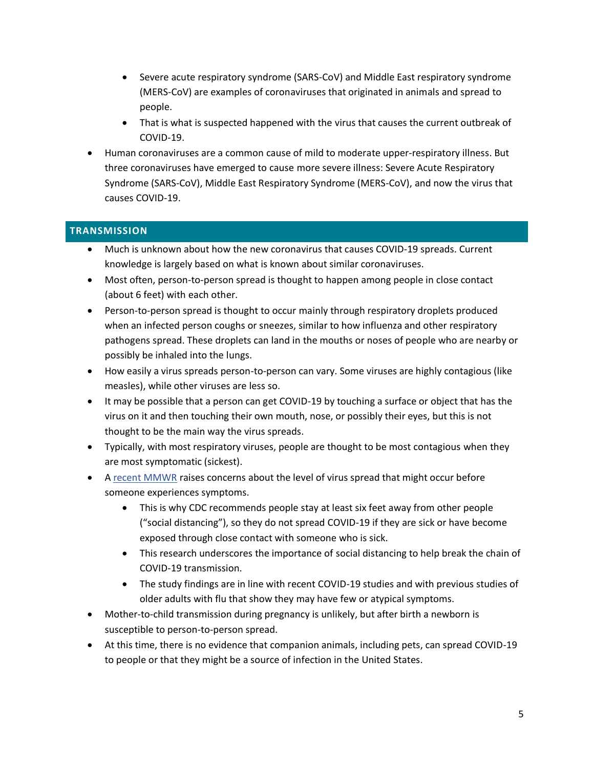- Severe acute respiratory syndrome (SARS-CoV) and Middle East respiratory syndrome (MERS-CoV) are examples of coronaviruses that originated in animals and spread to people.
- That is what is suspected happened with the virus that causes the current outbreak of COVID-19.
- Human coronaviruses are a common cause of mild to moderate upper-respiratory illness. But three coronaviruses have emerged to cause more severe illness: Severe Acute Respiratory Syndrome (SARS-CoV), Middle East Respiratory Syndrome (MERS-CoV), and now the virus that causes COVID-19.

# <span id="page-4-0"></span>**TRANSMISSION**

- Much is unknown about how the new coronavirus that causes COVID-19 spreads. Current knowledge is largely based on what is known about similar coronaviruses.
- Most often, person-to-person spread is thought to happen among people in close contact (about 6 feet) with each other.
- Person-to-person spread is thought to occur mainly through respiratory droplets produced when an infected person coughs or sneezes, similar to how influenza and other respiratory pathogens spread. These droplets can land in the mouths or noses of people who are nearby or possibly be inhaled into the lungs.
- How easily a virus spreads person-to-person can vary. Some viruses are highly contagious (like measles), while other viruses are less so.
- It may be possible that a person can get COVID-19 by touching a surface or object that has the virus on it and then touching their own mouth, nose, or possibly their eyes, but this is not thought to be the main way the virus spreads.
- Typically, with most respiratory viruses, people are thought to be most contagious when they are most symptomatic (sickest).
- A [recent MMWR](https://www.cdc.gov/mmwr/volumes/69/wr/mm6913e1.htm?s_cid=mm6913e1_w) raises concerns about the level of virus spread that might occur before someone experiences symptoms.
	- This is why CDC recommends people stay at least six feet away from other people ("social distancing"), so they do not spread COVID-19 if they are sick or have become exposed through close contact with someone who is sick.
	- This research underscores the importance of social distancing to help break the chain of COVID-19 transmission.
	- The study findings are in line with recent COVID-19 studies and with previous studies of older adults with flu that show they may have few or atypical symptoms.
- Mother-to-child transmission during pregnancy is unlikely, but after birth a newborn is susceptible to person-to-person spread.
- At this time, there is no evidence that companion animals, including pets, can spread COVID-19 to people or that they might be a source of infection in the United States.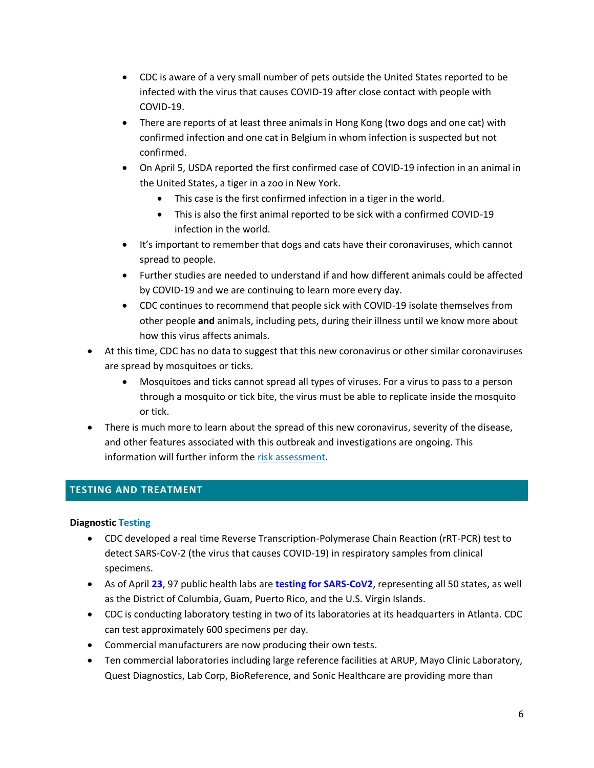- CDC is aware of a very small number of pets outside the United States reported to be infected with the virus that causes COVID-19 after close contact with people with COVID-19.
- There are reports of at least three animals in Hong Kong (two dogs and one cat) with confirmed infection and one cat in Belgium in whom infection is suspected but not confirmed.
- On April 5, USDA reported the first confirmed case of COVID-19 infection in an animal in the United States, a tiger in a zoo in New York.
	- This case is the first confirmed infection in a tiger in the world.
	- This is also the first animal reported to be sick with a confirmed COVID-19 infection in the world.
- It's important to remember that dogs and cats have their coronaviruses, which cannot spread to people.
- Further studies are needed to understand if and how different animals could be affected by COVID-19 and we are continuing to learn more every day.
- CDC continues to recommend that people sick with COVID-19 isolate themselves from other people **and** animals, including pets, during their illness until we know more about how this virus affects animals.
- At this time, CDC has no data to suggest that this new coronavirus or other similar coronaviruses are spread by mosquitoes or ticks.
	- Mosquitoes and ticks cannot spread all types of viruses. For a virus to pass to a person through a mosquito or tick bite, the virus must be able to replicate inside the mosquito or tick.
- There is much more to learn about the spread of this new coronavirus, severity of the disease, and other features associated with this outbreak and investigations are ongoing. This information will further inform the [risk assessment.](https://www.cdc.gov/coronavirus/2019-nCoV/summary.html#risk-assessment)

# <span id="page-5-0"></span>**TESTING AND TREATMENT**

# **Diagnostic Testing**

- CDC developed a real time Reverse Transcription-Polymerase Chain Reaction (rRT-PCR) test to detect SARS-CoV-2 (the virus that causes COVID-19) in respiratory samples from clinical specimens.
- As of April **23**, 97 public health labs are **testing for SARS-CoV2**, representing all 50 states, as well as the District of Columbia, Guam, Puerto Rico, and the U.S. Virgin Islands.
- CDC is conducting laboratory testing in two of its laboratories at its headquarters in Atlanta. CDC can test approximately 600 specimens per day.
- Commercial manufacturers are now producing their own tests.
- Ten commercial laboratories including large reference facilities at ARUP, Mayo Clinic Laboratory, Quest Diagnostics, Lab Corp, BioReference, and Sonic Healthcare are providing more than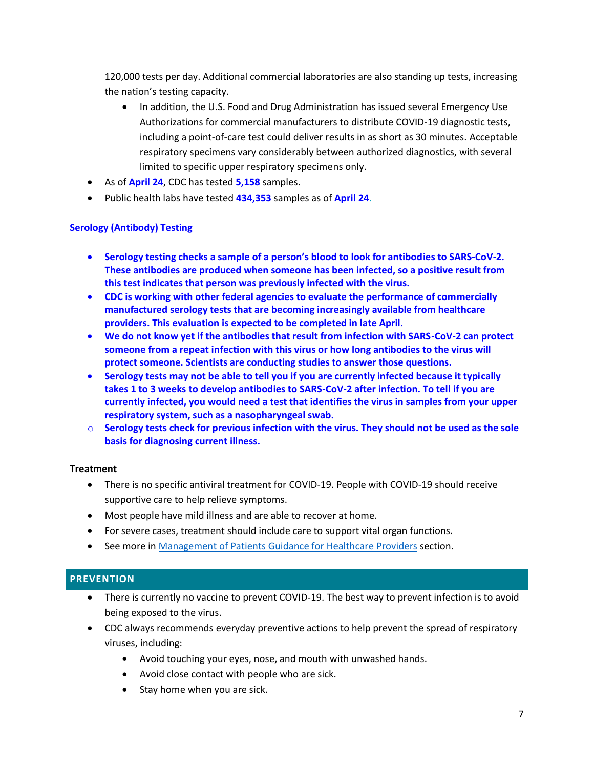120,000 tests per day. Additional commercial laboratories are also standing up tests, increasing the nation's testing capacity.

- In addition, the U.S. Food and Drug Administration has issued several Emergency Use Authorizations for commercial manufacturers to distribute COVID-19 diagnostic tests, including a point-of-care test could deliver results in as short as 30 minutes. Acceptable respiratory specimens vary considerably between authorized diagnostics, with several limited to specific upper respiratory specimens only.
- As of **April 24**, CDC has tested **5,158** samples.
- Public health labs have tested **434,353** samples as of **April 24**.

# **Serology (Antibody) Testing**

- **Serology testing checks a sample of a person's blood to look for antibodies to SARS-CoV-2. These antibodies are produced when someone has been infected, so a positive result from this test indicates that person was previously infected with the virus.**
- **CDC is working with other federal agencies to evaluate the performance of commercially manufactured serology tests that are becoming increasingly available from healthcare providers. This evaluation is expected to be completed in late April.**
- **We do not know yet if the antibodies that result from infection with SARS-CoV-2 can protect someone from a repeat infection with this virus or how long antibodies to the virus will protect someone. Scientists are conducting studies to answer those questions.**
- **Serology tests may not be able to tell you if you are currently infected because it typically takes 1 to 3 weeks to develop antibodies to SARS-CoV-2 after infection. To tell if you are currently infected, you would need a test that identifies the virus in samples from your upper respiratory system, such as a nasopharyngeal swab.**
- o **Serology tests check for previous infection with the virus. They should not be used as the sole basis for diagnosing current illness.**

# **Treatment**

- There is no specific antiviral treatment for COVID-19. People with COVID-19 should receive supportive care to help relieve symptoms.
- Most people have mild illness and are able to recover at home.
- For severe cases, treatment should include care to support vital organ functions.
- See more in [Management of Patients Guidance for Healthcare Providers](#page-40-0) section.

# <span id="page-6-0"></span>**PREVENTION**

- There is currently no vaccine to prevent COVID-19. The best way to prevent infection is to avoid being exposed to the virus.
- CDC always recommends everyday preventive actions to help prevent the spread of respiratory viruses, including:
	- Avoid touching your eyes, nose, and mouth with unwashed hands.
	- Avoid close contact with people who are sick.
	- Stay home when you are sick.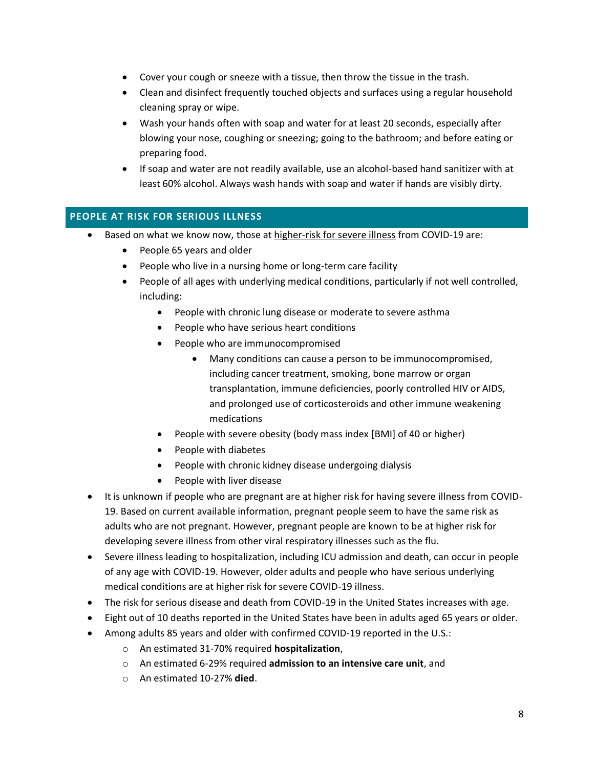- Cover your cough or sneeze with a tissue, then throw the tissue in the trash.
- Clean and disinfect frequently touched objects and surfaces using a regular household cleaning spray or wipe.
- Wash your hands often with soap and water for at least 20 seconds, especially after blowing your nose, coughing or sneezing; going to the bathroom; and before eating or preparing food.
- If soap and water are not readily available, use an alcohol-based hand sanitizer with at least 60% alcohol. Always wash hands with soap and water if hands are visibly dirty.

# <span id="page-7-0"></span>**PEOPLE AT RISK FOR SERIOUS ILLNESS**

- Based on what we know now, those at [higher-risk for severe illness](https://www.cdc.gov/coronavirus/2019-ncov/need-extra-precautions/people-at-higher-risk.html) from COVID-19 are:
	- People 65 years and older
	- People who live in a nursing home or long-term care facility
	- People of all ages with underlying medical conditions, particularly if not well controlled, including:
		- People with chronic lung disease or moderate to severe asthma
		- People who have serious heart conditions
		- People who are immunocompromised
			- Many conditions can cause a person to be immunocompromised, including cancer treatment, smoking, bone marrow or organ transplantation, immune deficiencies, poorly controlled HIV or AIDS, and prolonged use of corticosteroids and other immune weakening medications
		- People with severe obesity (body mass index [BMI] of 40 or higher)
		- People with diabetes
		- People with chronic kidney disease undergoing dialysis
		- People with liver disease
- It is unknown if people who are pregnant are at higher risk for having severe illness from COVID-19. Based on current available information, pregnant people seem to have the same risk as adults who are not pregnant. However, pregnant people are known to be at higher risk for developing severe illness from other viral respiratory illnesses such as the flu.
- Severe illness leading to hospitalization, including ICU admission and death, can occur in people of any age with COVID-19. However, older adults and people who have serious underlying medical conditions are at higher risk for severe COVID-19 illness.
- The risk for serious disease and death from COVID-19 in the United States increases with age.
- Eight out of 10 deaths reported in the United States have been in adults aged 65 years or older.
- Among adults 85 years and older with confirmed COVID-19 reported in the U.S.:
	- o An estimated 31-70% required **hospitalization**,
	- o An estimated 6-29% required **admission to an intensive care unit**, and
	- o An estimated 10-27% **died**.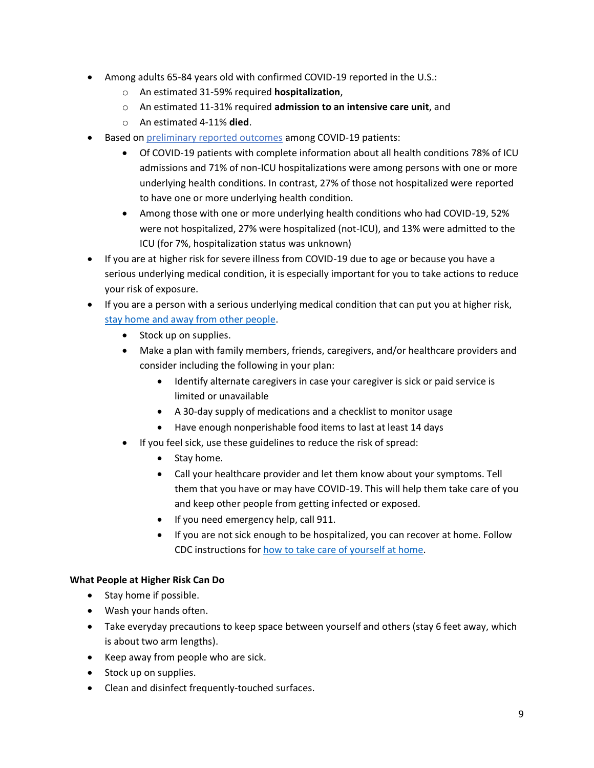- Among adults 65-84 years old with confirmed COVID-19 reported in the U.S.:
	- o An estimated 31-59% required **hospitalization**,
	- o An estimated 11-31% required **admission to an intensive care unit**, and
	- o An estimated 4-11% **died**.
- Based on [preliminary reported outcomes](https://www.cdc.gov/mmwr/volumes/69/wr/mm6913e2.htm?s_cid=mm6913e2_w) among COVID-19 patients:
	- Of COVID-19 patients with complete information about all health conditions 78% of ICU admissions and 71% of non-ICU hospitalizations were among persons with one or more underlying health conditions. In contrast, 27% of those not hospitalized were reported to have one or more underlying health condition.
	- Among those with one or more underlying health conditions who had COVID-19, 52% were not hospitalized, 27% were hospitalized (not-ICU), and 13% were admitted to the ICU (for 7%, hospitalization status was unknown)
- If you are at higher risk for severe illness from COVID-19 due to age or because you have a serious underlying medical condition, it is especially important for you to take actions to reduce your risk of exposure.
- If you are a person with a serious underlying medical condition that can put you at higher risk, [stay home and away from other people.](https://www.whitehouse.gov/wp-content/uploads/2020/03/03.16.20_coronavirus-guidance_8.5x11_315PM.pdf)
	- Stock up on supplies.
	- Make a plan with family members, friends, caregivers, and/or healthcare providers and consider including the following in your plan:
		- Identify alternate caregivers in case your caregiver is sick or paid service is limited or unavailable
		- A 30-day supply of medications and a checklist to monitor usage
		- Have enough nonperishable food items to last at least 14 days
	- If you feel sick, use these guidelines to reduce the risk of spread:
		- Stay home.
		- Call your healthcare provider and let them know about your symptoms. Tell them that you have or may have COVID-19. This will help them take care of you and keep other people from getting infected or exposed.
		- If you need emergency help, call 911.
		- If you are not sick enough to be hospitalized, you can recover at home. Follow CDC instructions for [how to take care of yourself at home.](https://www.cdc.gov/coronavirus/2019-ncov/about/steps-when-sick.html)

# **What People at Higher Risk Can Do**

- Stay home if possible.
- Wash your hands often.
- Take everyday precautions to keep space between yourself and others (stay 6 feet away, which is about two arm lengths).
- Keep away from people who are sick.
- Stock up on supplies.
- Clean and disinfect frequently-touched surfaces.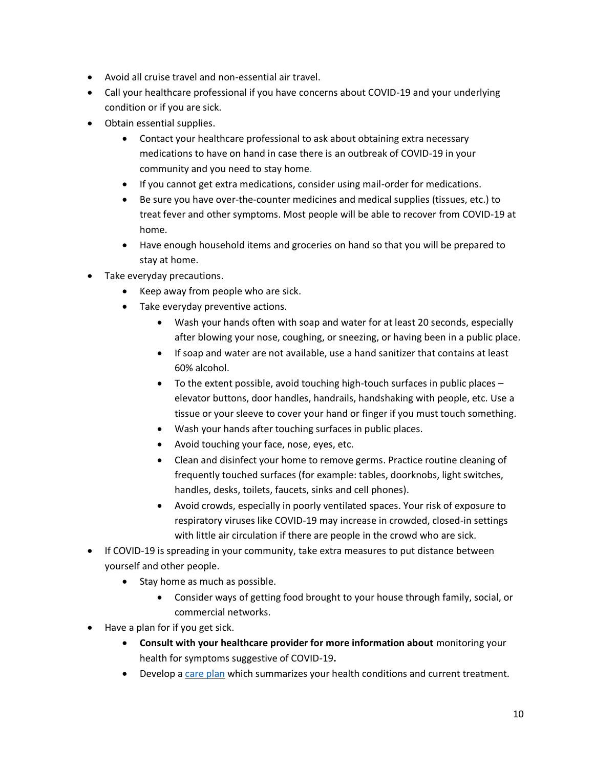- Avoid all cruise travel and non-essential air travel.
- Call your healthcare professional if you have concerns about COVID-19 and your underlying condition or if you are sick.
- Obtain essential supplies.
	- Contact your healthcare professional to ask about obtaining extra necessary medications to have on hand in case there is an outbreak of COVID-19 in your community and you need to stay home.
	- If you cannot get extra medications, consider using mail-order for medications.
	- Be sure you have over-the-counter medicines and medical supplies (tissues, etc.) to treat fever and other symptoms. Most people will be able to recover from COVID-19 at home.
	- Have enough household items and groceries on hand so that you will be prepared to stay at home.
- Take everyday precautions.
	- Keep away from people who are sick.
	- Take everyday preventive actions.
		- Wash your hands often with soap and water for at least 20 seconds, especially after blowing your nose, coughing, or sneezing, or having been in a public place.
		- If soap and water are not available, use a hand sanitizer that contains at least 60% alcohol.
		- To the extent possible, avoid touching high-touch surfaces in public places elevator buttons, door handles, handrails, handshaking with people, etc. Use a tissue or your sleeve to cover your hand or finger if you must touch something.
		- Wash your hands after touching surfaces in public places.
		- Avoid touching your face, nose, eyes, etc.
		- Clean and disinfect your home to remove germs. Practice routine cleaning of frequently touched surfaces (for example: tables, doorknobs, light switches, handles, desks, toilets, faucets, sinks and cell phones).
		- Avoid crowds, especially in poorly ventilated spaces. Your risk of exposure to respiratory viruses like COVID-19 may increase in crowded, closed-in settings with little air circulation if there are people in the crowd who are sick.
- If COVID-19 is spreading in your community, take extra measures to put distance between yourself and other people.
	- Stay home as much as possible.
		- Consider ways of getting food brought to your house through family, social, or commercial networks.
- [Have a plan for if you get sick.](https://www.cdc.gov/coronavirus/2019-ncov/community/home/get-your-household-ready-for-COVID-19.html)
	- **Consult with your healthcare provider for more information about** [monitoring your](https://www.cdc.gov/coronavirus/2019-ncov/hcp/guidance-prevent-spread.html#precautions)  [health for symptoms suggestive of COVID-19](https://www.cdc.gov/coronavirus/2019-ncov/hcp/guidance-prevent-spread.html#precautions)**.**
	- Develop a [care plan](https://www.cdc.gov/aging/caregiving/pdf/Complete-Care-Plan-Form-508.pdf) which summarizes your health conditions and current treatment.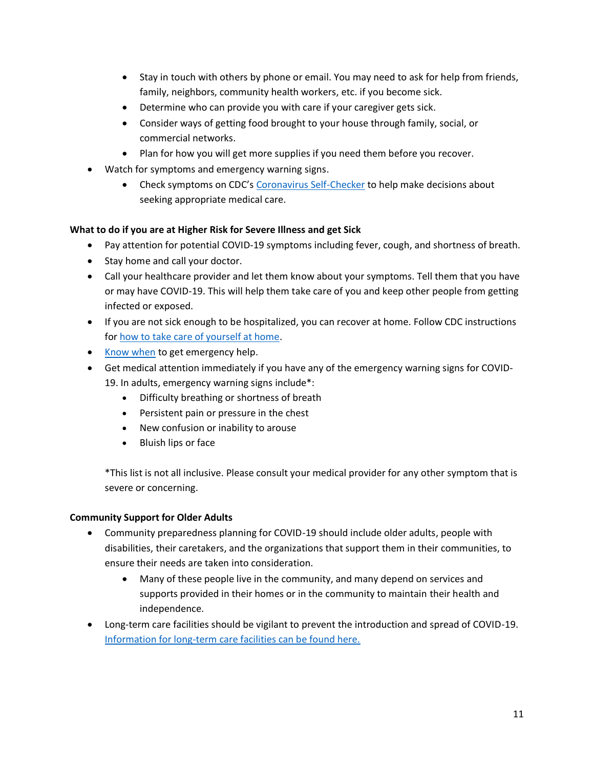- Stay in touch with others by phone or email. You may need to ask for help from friends, family, neighbors, community health workers, etc. if you become sick.
- Determine who can provide you with care if your caregiver gets sick.
- Consider ways of getting food brought to your house through family, social, or commercial networks.
- Plan for how you will get more supplies if you need them before you recover.
- Watch for symptoms and emergency warning signs.
	- Check symptoms on CDC's [Coronavirus Self-Checker](https://www.cdc.gov/coronavirus/2019-ncov/symptoms-testing/index.html) to help make decisions about seeking appropriate medical care.

# **What to do if you are at Higher Risk for Severe Illness and get Sick**

- Pay attention for potential COVID-19 symptoms including fever, cough, and shortness of breath.
- Stay home and call your doctor.
- Call your healthcare provider and let them know about your symptoms. Tell them that you have or may have COVID-19. This will help them take care of you and keep other people from getting infected or exposed.
- If you are not sick enough to be hospitalized, you can recover at home. Follow CDC instructions for [how to take care of yourself at home.](https://www.cdc.gov/coronavirus/2019-ncov/if-you-are-sick/caring-for-yourself-at-home.html)
- [Know when](https://www.cdc.gov/coronavirus/2019-ncov/if-you-are-sick/index.html) to get emergency help.
- Get medical attention immediately if you have any of the emergency warning signs for COVID-19. In adults, emergency warning signs include\*:
	- Difficulty breathing or shortness of breath
	- Persistent pain or pressure in the chest
	- New confusion or inability to arouse
	- Bluish lips or face

\*This list is not all inclusive. Please consult your medical provider for any other symptom that is severe or concerning.

# **Community Support for Older Adults**

- Community preparedness planning for COVID-19 should include older adults, people with disabilities, their caretakers, and the organizations that support them in their communities, to ensure their needs are taken into consideration.
	- Many of these people live in the community, and many depend on services and supports provided in their homes or in the community to maintain their health and independence.
- Long-term care facilities should be vigilant to prevent the introduction and spread of COVID-19. [Information for long-term care facilities can be found here.](https://www.cdc.gov/coronavirus/2019-ncov/healthcare-facilities/prevent-spread-in-long-term-care-facilities.html)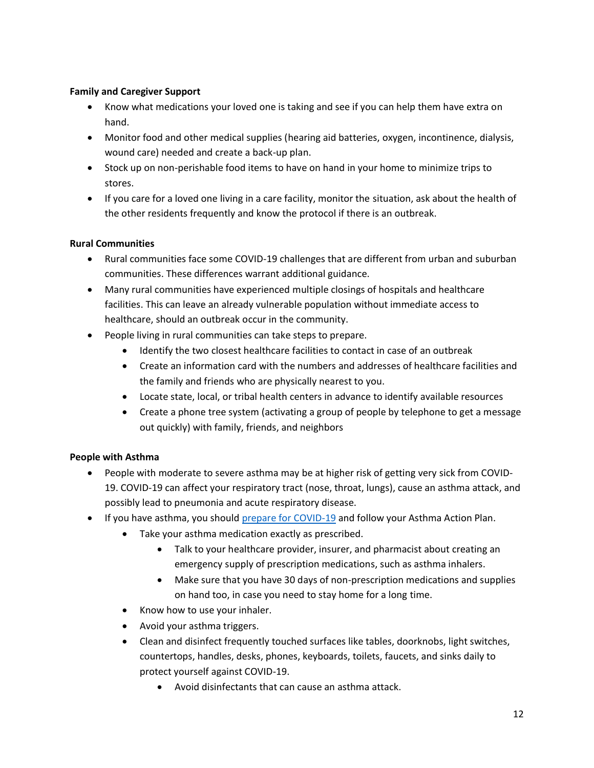# **Family and Caregiver Support**

- Know what medications your loved one is taking and see if you can help them have extra on hand.
- Monitor food and other medical supplies (hearing aid batteries, oxygen, incontinence, dialysis, wound care) needed and create a back-up plan.
- Stock up on non-perishable food items to have on hand in your home to minimize trips to stores.
- If you care for a loved one living in a care facility, monitor the situation, ask about the health of the other residents frequently and know the protocol if there is an outbreak.

#### **Rural Communities**

- Rural communities face some COVID-19 challenges that are different from urban and suburban communities. These differences warrant additional guidance.
- Many rural communities have experienced multiple closings of hospitals and healthcare facilities. This can leave an already vulnerable population without immediate access to healthcare, should an outbreak occur in the community.
- People living in rural communities can take steps to prepare.
	- Identify the two closest healthcare facilities to contact in case of an outbreak
	- Create an information card with the numbers and addresses of healthcare facilities and the family and friends who are physically nearest to you.
	- Locate state, local, or tribal health centers in advance to identify available resources
	- Create a phone tree system (activating a group of people by telephone to get a message out quickly) with family, friends, and neighbors

# **People with Asthma**

- People with moderate to severe asthma may be at higher risk of getting very sick from COVID-19. COVID-19 can affect your respiratory tract (nose, throat, lungs), cause an asthma attack, and possibly lead to pneumonia and acute respiratory disease.
- If you have asthma, you should [prepare for COVID-19](https://www.cdc.gov/coronavirus/2019-ncov/specific-groups/high-risk-complications.html) and follow your Asthma Action Plan.
	- Take your asthma medication exactly as prescribed.
		- Talk to your healthcare provider, insurer, and pharmacist about creating an emergency supply of prescription medications, such as asthma inhalers.
		- Make sure that you have 30 days of non-prescription medications and supplies on hand too, in case you need to stay home for a long time.
	- Know how to use your inhaler.
	- Avoid your asthma triggers.
	- Clean and disinfect frequently touched surfaces like tables, doorknobs, light switches, countertops, handles, desks, phones, keyboards, toilets, faucets, and sinks daily to protect yourself against COVID-19.
		- Avoid disinfectants that can cause an asthma attack.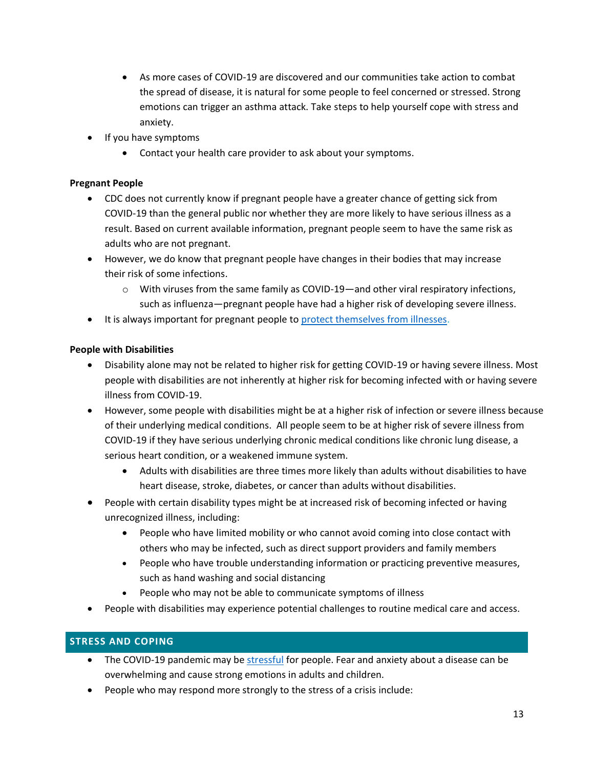- As more cases of COVID-19 are discovered and our communities take action to combat the spread of disease, it is natural for some people to feel concerned or stressed. Strong emotions can trigger an asthma attack. Take steps to help yourself cope with stress and anxiety.
- If you have symptoms
	- Contact your health care provider to ask about your symptoms.

# **Pregnant People**

- CDC does not currently know if pregnant people have a greater chance of getting sick from COVID-19 than the general public nor whether they are more likely to have serious illness as a result. Based on current available information, pregnant people seem to have the same risk as adults who are not pregnant.
- However, we do know that pregnant people have changes in their bodies that may increase their risk of some infections.
	- $\circ$  With viruses from the same family as COVID-19—and other viral respiratory infections, such as influenza—pregnant people have had a higher risk of developing severe illness.
- It is always important for pregnant people to [protect themselves from illnesses.](https://www.cdc.gov/coronavirus/2019-ncov/prevent-getting-sick/prevention.html)

#### **People with Disabilities**

- Disability alone may not be related to higher risk for getting COVID-19 or having severe illness. Most people with disabilities are not inherently at higher risk for becoming infected with or having severe illness from COVID-19.
- However, some people with disabilities might be at a higher risk of infection or severe illness because of their underlying medical conditions. All people seem to be at higher risk of severe illness from COVID-19 if they have serious underlying chronic medical conditions like chronic lung disease, a serious heart condition, or a weakened immune system.
	- Adults with disabilities are three times more likely than adults without disabilities to have heart disease, stroke, diabetes, or cancer than adults without disabilities.
- People with certain disability types might be at increased risk of becoming infected or having unrecognized illness, including:
	- People who have limited mobility or who cannot avoid coming into close contact with others who may be infected, such as direct support providers and family members
	- People who have trouble understanding information or practicing preventive measures, such as hand washing and social distancing
	- People who may not be able to communicate symptoms of illness
- People with disabilities may experience potential challenges to routine medical care and access.

# <span id="page-12-0"></span>**STRESS AND COPING**

- The COVID-19 pandemic may be [stressful](http://www.cdc.gov/coronavirus/2019-ncov/prepare/managing-stress-anxiety.html?CDC_AA_refVal=https:/www.cdc.gov/coronavirus/2019-ncov/about/coping.html) for people. Fear and anxiety about a disease can be overwhelming and cause strong emotions in adults and children.
- People who may respond more strongly to the stress of a crisis include: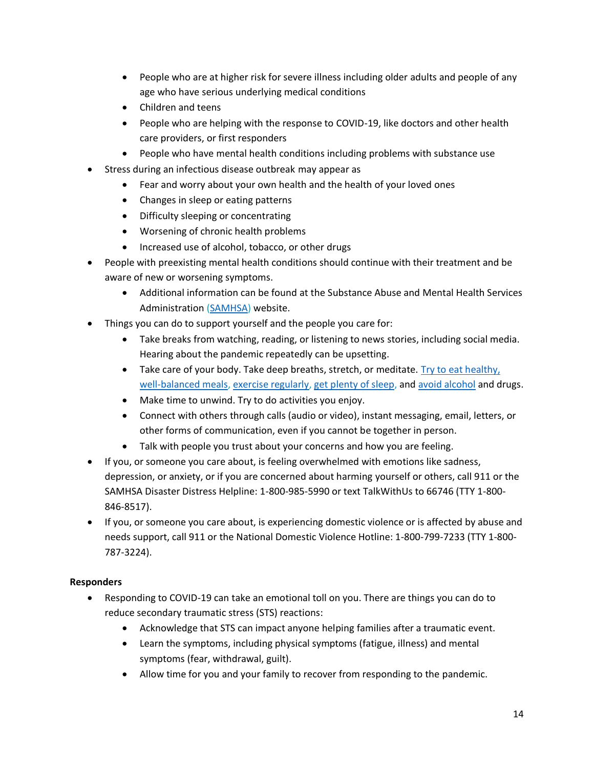- People who are at higher risk for severe illness including older adults and people of any age who have serious underlying medical conditions
- Children and teens
- People who are helping with the response to COVID-19, like doctors and other health care providers, or first responders
- People who have mental health conditions including problems with substance use
- Stress during an infectious disease outbreak may appear as
	- Fear and worry about your own health and the health of your loved ones
	- Changes in sleep or eating patterns
	- Difficulty sleeping or concentrating
	- Worsening of chronic health problems
	- Increased use of alcohol, tobacco, or other drugs
- People with preexisting mental health conditions should continue with their treatment and be aware of new or worsening symptoms.
	- Additional information can be found at the Substance Abuse and Mental Health Services Administration [\(SAMHSA\)](https://www.samhsa.gov/coronavirus) website.
- Things you can do to support yourself and the people you care for:
	- Take breaks from watching, reading, or listening to news stories, including social media. Hearing about the pandemic repeatedly can be upsetting.
	- Take care of your body. Take deep breaths, stretch, or meditate. Try to eat healthy, [well-balanced meals,](https://www.cdc.gov/nccdphp/dnpao/features/national-nutrition-month/index.html) [exercise regularly,](https://www.cdc.gov/physicalactivity/basics/index.htm) [get plenty of sleep,](https://www.cdc.gov/sleep/about_sleep/sleep_hygiene.html) and [avoid alcohol](https://www.cdc.gov/alcohol/fact-sheets/alcohol-use.htm) and drugs.
	- Make time to unwind. Try to do activities you enjoy.
	- Connect with others through calls (audio or video), instant messaging, email, letters, or other forms of communication, even if you cannot be together in person.
	- Talk with people you trust about your concerns and how you are feeling.
- If you, or someone you care about, is feeling overwhelmed with emotions like sadness, depression, or anxiety, or if you are concerned about harming yourself or others, call 911 or the SAMHSA Disaster Distress Helpline: 1-800-985-5990 or text TalkWithUs to 66746 (TTY 1-800- 846-8517).
- If you, or someone you care about, is experiencing domestic violence or is affected by abuse and needs support, call 911 or the National Domestic Violence Hotline: 1-800-799-7233 (TTY 1-800- 787-3224).

# **Responders**

- Responding to COVID-19 can take an emotional toll on you. There are things you can do to reduce secondary traumatic stress (STS) reactions:
	- Acknowledge that STS can impact anyone helping families after a traumatic event.
	- Learn the symptoms, including physical symptoms (fatigue, illness) and mental symptoms (fear, withdrawal, guilt).
	- Allow time for you and your family to recover from responding to the pandemic.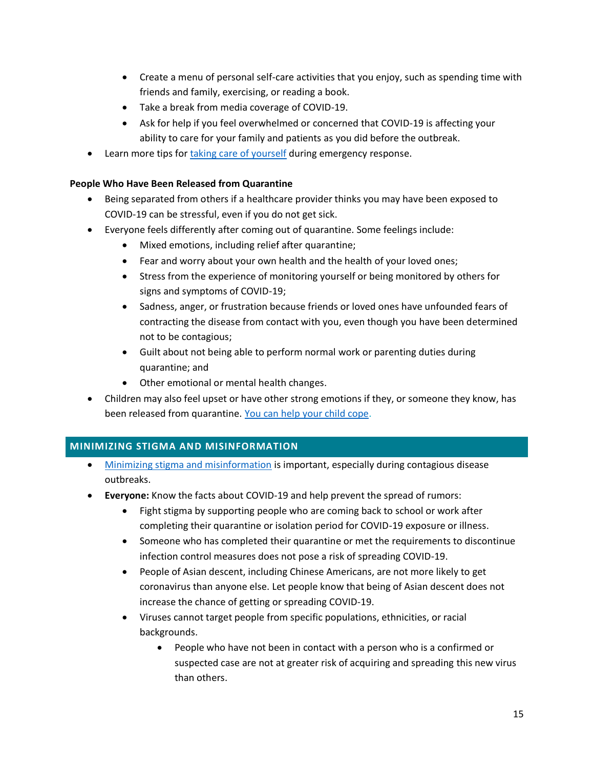- Create a menu of personal self-care activities that you enjoy, such as spending time with friends and family, exercising, or reading a book.
- Take a break from media coverage of COVID-19.
- Ask for help if you feel overwhelmed or concerned that COVID-19 is affecting your ability to care for your family and patients as you did before the outbreak.
- Learn more tips for [taking care of yourself](https://emergency.cdc.gov/coping/responders.asp) during emergency response.

### **People Who Have Been Released from Quarantine**

- Being separated from others if a healthcare provider thinks you may have been exposed to COVID-19 can be stressful, even if you do not get sick.
- Everyone feels differently after coming out of quarantine. Some feelings include:
	- Mixed emotions, including relief after quarantine;
	- Fear and worry about your own health and the health of your loved ones;
	- Stress from the experience of monitoring yourself or being monitored by others for signs and symptoms of COVID-19;
	- Sadness, anger, or frustration because friends or loved ones have unfounded fears of contracting the disease from contact with you, even though you have been determined not to be contagious;
	- Guilt about not being able to perform normal work or parenting duties during quarantine; and
	- Other emotional or mental health changes.
- Children may also feel upset or have other strong emotions if they, or someone they know, has been released from quarantine. [You can help your child cope.](https://www.cdc.gov/coronavirus/2019-ncov/daily-life-coping/managing-stress-anxiety.html#parents)

# <span id="page-14-0"></span>**MINIMIZING STIGMA AND MISINFORMATION**

- [Minimizing stigma and misinformation](https://www.cdc.gov/coronavirus/2019-ncov/about/related-stigma.html) is important, especially during contagious disease outbreaks.
- **Everyone:** Know the facts about COVID-19 and help prevent the spread of rumors:
	- Fight stigma by supporting people who are coming back to school or work after completing their quarantine or isolation period for COVID-19 exposure or illness.
	- Someone who has completed their quarantine or met the requirements to discontinue infection control measures does not pose a risk of spreading COVID-19.
	- People of Asian descent, including Chinese Americans, are not more likely to get coronavirus than anyone else. Let people know that being of Asian descent does not increase the chance of getting or spreading COVID-19.
	- Viruses cannot target people from specific populations, ethnicities, or racial backgrounds.
		- People who have not been in contact with a person who is a confirmed or suspected case are not at greater risk of acquiring and spreading this new virus than others.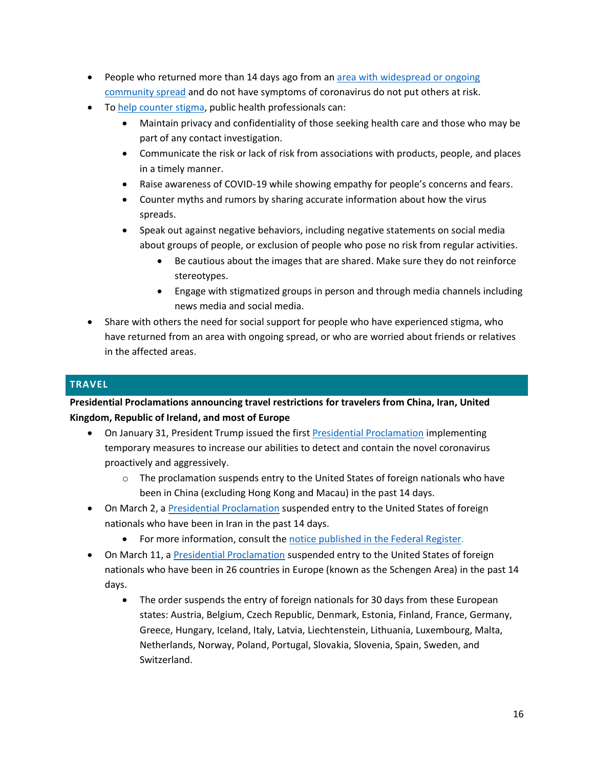- People who returned more than 14 days ago from a[n area with widespread or ongoing](https://www.cdc.gov/coronavirus/2019-ncov/about/transmission.html#geographic)  [community spread](https://www.cdc.gov/coronavirus/2019-ncov/about/transmission.html#geographic) and do not have symptoms of coronavirus do not put others at risk.
- T[o help counter stigma,](https://www.cdc.gov/coronavirus/2019-ncov/stigma-faq.html) public health professionals can:
	- Maintain privacy and confidentiality of those seeking health care and those who may be part of any contact investigation.
	- Communicate the risk or lack of risk from associations with products, people, and places in a timely manner.
	- Raise awareness of COVID-19 while showing empathy for people's concerns and fears.
	- Counter myths and rumors by sharing accurate information about how the virus spreads.
	- Speak out against negative behaviors, including negative statements on social media about groups of people, or exclusion of people who pose no risk from regular activities.
		- Be cautious about the images that are shared. Make sure they do not reinforce stereotypes.
		- Engage with stigmatized groups in person and through media channels including news media and social media.
- Share with others the need for social support for people who have experienced stigma, who have returned from an area with ongoing spread, or who are worried about friends or relatives in the affected areas.

# <span id="page-15-0"></span>**TRAVEL**

**Presidential Proclamations announcing travel restrictions for travelers from China, Iran, United Kingdom, Republic of Ireland, and most of Europe**

- On January 31, President Trump issued the first [Presidential Proclamation](https://www.whitehouse.gov/presidential-actions/proclamation-suspension-entry-immigrants-nonimmigrants-persons-pose-risk-transmitting-2019-novel-coronavirus/) implementing temporary measures to increase our abilities to detect and contain the novel coronavirus proactively and aggressively.
	- $\circ$  The proclamation suspends entry to the United States of foreign nationals who have been in China (excluding Hong Kong and Macau) in the past 14 days.
- On March 2, a [Presidential Proclamation](https://www.whitehouse.gov/presidential-actions/proclamation-suspension-entry-immigrants-nonimmigrants-certain-additional-persons-pose-risk-transmitting-coronavirus/) suspended entry to the United States of foreign nationals who have been in Iran in the past 14 days.
	- For more information, consult the [notice published in the Federal Register.](file:///C:/Users/Dvp2/AppData/Local/Microsoft/Windows/INetCache/Content.Outlook/I8MGFAIL/o%09https:/www.federalregister.gov/documents/2020/03/04/2020-04542/notification-of-arrival-restrictions-applicable-to-flights-carrying-persons-who-have-recently)
- On March 11, a [Presidential Proclamation](https://www.whitehouse.gov/presidential-actions/proclamation-suspension-entry-immigrants-nonimmigrants-certain-additional-persons-pose-risk-transmitting-coronavirus/) suspended entry to the United States of foreign nationals who have been in 26 countries in Europe (known as the Schengen Area) in the past 14 days.
	- The order suspends the entry of foreign nationals for 30 days from these European states: Austria, Belgium, Czech Republic, Denmark, Estonia, Finland, France, Germany, Greece, Hungary, Iceland, Italy, Latvia, Liechtenstein, Lithuania, Luxembourg, Malta, Netherlands, Norway, Poland, Portugal, Slovakia, Slovenia, Spain, Sweden, and Switzerland.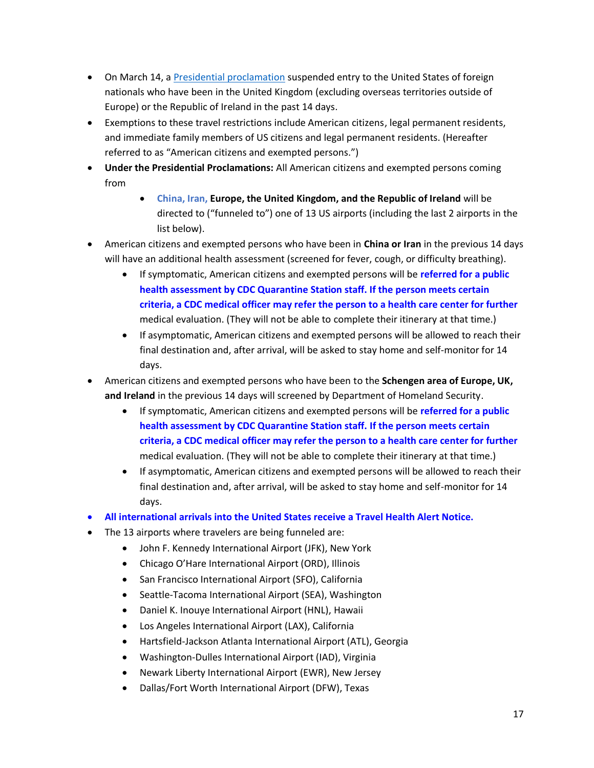- On March 14, a [Presidential proclamation](https://www.whitehouse.gov/presidential-actions/proclamation-suspension-entry-immigrants-nonimmigrants-certain-additional-persons-pose-risk-transmitting-coronavirus-2/) suspended entry to the United States of foreign nationals who have been in the United Kingdom (excluding overseas territories outside of Europe) or the Republic of Ireland in the past 14 days.
- Exemptions to these travel restrictions include American citizens, legal permanent residents, and immediate family members of US citizens and legal permanent residents. (Hereafter referred to as "American citizens and exempted persons.")
- **Under the Presidential Proclamations:** All American citizens and exempted persons coming from
	- **China, Iran, Europe, the United Kingdom, and the Republic of Ireland** will be directed to ("funneled to") one of 13 US airports (including the last 2 airports in the list below).
- American citizens and exempted persons who have been in **China or Iran** in the previous 14 days will have an additional health assessment (screened for fever, cough, or difficulty breathing).
	- If symptomatic, American citizens and exempted persons will be **referred for a public health assessment by CDC Quarantine Station staff. If the person meets certain criteria, a CDC medical officer may refer the person to a health care center for further** medical evaluation. (They will not be able to complete their itinerary at that time.)
	- If asymptomatic, American citizens and exempted persons will be allowed to reach their final destination and, after arrival, will be asked to stay home and self-monitor for 14 days.
- American citizens and exempted persons who have been to the **Schengen area of Europe, UK, and Ireland** in the previous 14 days will screened by Department of Homeland Security.
	- If symptomatic, American citizens and exempted persons will be **referred for a public health assessment by CDC Quarantine Station staff. If the person meets certain criteria, a CDC medical officer may refer the person to a health care center for further** medical evaluation. (They will not be able to complete their itinerary at that time.)
	- If asymptomatic, American citizens and exempted persons will be allowed to reach their final destination and, after arrival, will be asked to stay home and self-monitor for 14 days.
- **All international arrivals into the United States receive a Travel Health Alert Notice.**
- The 13 airports where travelers are being funneled are:
	- John F. Kennedy International Airport (JFK), New York
	- Chicago O'Hare International Airport (ORD), Illinois
	- San Francisco International Airport (SFO), California
	- Seattle-Tacoma International Airport (SEA), Washington
	- Daniel K. Inouye International Airport (HNL), Hawaii
	- Los Angeles International Airport (LAX), California
	- Hartsfield-Jackson Atlanta International Airport (ATL), Georgia
	- Washington-Dulles International Airport (IAD), Virginia
	- Newark Liberty International Airport (EWR), New Jersey
	- Dallas/Fort Worth International Airport (DFW), Texas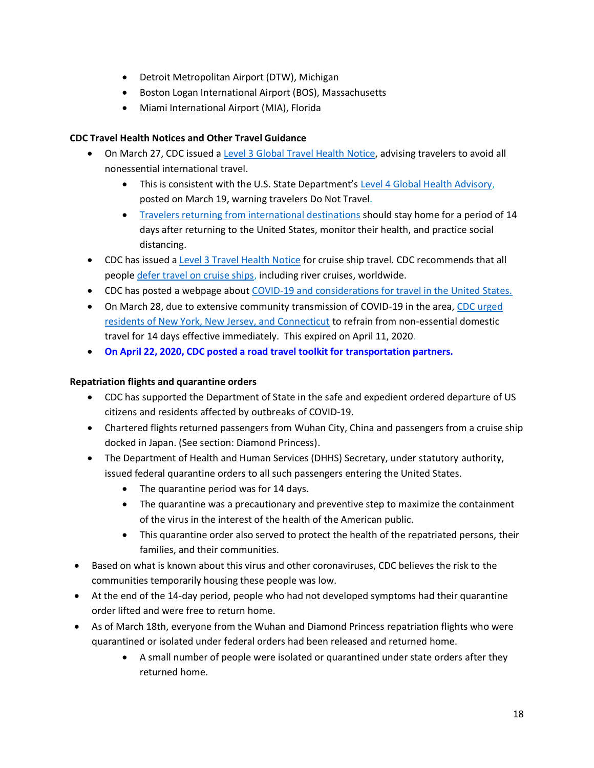- Detroit Metropolitan Airport (DTW), Michigan
- Boston Logan International Airport (BOS), Massachusetts
- Miami International Airport (MIA), Florida

# **CDC Travel Health Notices and Other Travel Guidance**

- On March 27, CDC issued [a Level 3 Global Travel Health Notice,](https://wwwnc.cdc.gov/travel/notices/warning/coronavirus-global) advising travelers to avoid all nonessential international travel.
	- This is consistent with the U.S. State Department's [Level 4 Global Health Advisory,](https://travel.state.gov/content/travel/en/traveladvisories/ea/travel-advisory-alert-global-level-4-health-advisory-issue.html) posted on March 19, warning travelers Do Not Travel.
	- [Travelers returning from international destinations](https://www.cdc.gov/coronavirus/2019-ncov/travelers/after-travel-precautions.html) should stay home for a period of 14 days after returning to the United States, monitor their health, and practice social distancing.
- CDC has issued a [Level 3 Travel Health Notice](https://wwwnc.cdc.gov/travel/notices/warning/coronavirus-cruise-ship) for cruise ship travel. CDC recommends that all people [defer travel on cruise ships,](https://www.cdc.gov/coronavirus/2019-ncov/travelers/returning-cruise-voyages.html) including river cruises, worldwide.
- CDC has posted a webpage about [COVID-19 and considerations for travel in the United States.](https://www.cdc.gov/coronavirus/2019-ncov/travelers/travel-in-the-us.html)
- On March 28, due to extensive community transmission of COVID-19 in the area, CDC urged [residents of New York, New Jersey, and Connecticut](https://www.cdc.gov/media/releases/2020/s038-travel-advisory.html) to refrain from non-essential domestic travel for 14 days effective immediately. This expired on April 11, 2020.
- **On April 22, 2020, CDC posted a road travel toolkit for transportation partners.**

# **Repatriation flights and quarantine orders**

- CDC has supported the Department of State in the safe and expedient ordered departure of US citizens and residents affected by outbreaks of COVID-19.
- Chartered flights returned passengers from Wuhan City, China and passengers from a cruise ship docked in Japan. (See section: Diamond Princess).
- The Department of Health and Human Services (DHHS) Secretary, under statutory authority, issued federal quarantine orders to all such passengers entering the United States.
	- The quarantine period was for 14 days.
	- The quarantine was a precautionary and preventive step to maximize the containment of the virus in the interest of the health of the American public.
	- This quarantine order also served to protect the health of the repatriated persons, their families, and their communities.
- Based on what is known about this virus and other coronaviruses, CDC believes the risk to the communities temporarily housing these people was low.
- At the end of the 14-day period, people who had not developed symptoms had their quarantine order lifted and were free to return home.
- As of March 18th, everyone from the Wuhan and Diamond Princess repatriation flights who were quarantined or isolated under federal orders had been released and returned home.
	- A small number of people were isolated or quarantined under state orders after they returned home.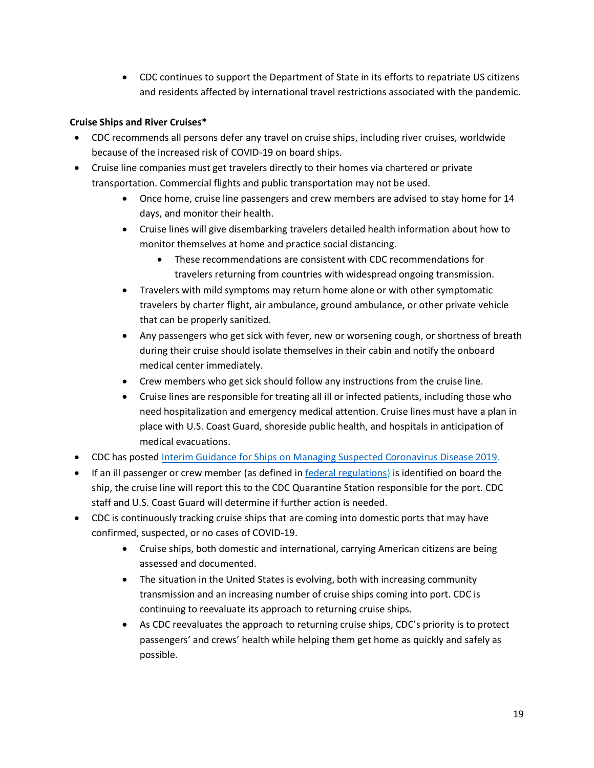• CDC continues to support the Department of State in its efforts to repatriate US citizens and residents affected by international travel restrictions associated with the pandemic.

# **Cruise Ships and River Cruises\***

- CDC recommends all persons defer any travel on cruise ships, including river cruises, worldwide because of the increased risk of COVID-19 on board ships.
- Cruise line companies must get travelers directly to their homes via chartered or private transportation. Commercial flights and public transportation may not be used.
	- Once home, cruise line passengers and crew members are advised to stay home for 14 days, and monitor their health.
	- Cruise lines will give disembarking travelers detailed health information about how to monitor themselves at home and practice social distancing.
		- These recommendations are consistent with CDC recommendations for travelers returning from countries with widespread ongoing transmission.
	- Travelers with mild symptoms may return home alone or with other symptomatic travelers by charter flight, air ambulance, ground ambulance, or other private vehicle that can be properly sanitized.
	- Any passengers who get sick with fever, new or worsening cough, or shortness of breath during their cruise should isolate themselves in their cabin and notify the onboard medical center immediately.
	- Crew members who get sick should follow any instructions from the cruise line.
	- Cruise lines are responsible for treating all ill or infected patients, including those who need hospitalization and emergency medical attention. Cruise lines must have a plan in place with U.S. Coast Guard, shoreside public health, and hospitals in anticipation of medical evacuations.
- CDC has posted [Interim Guidance for Ships on Managing Suspected Coronavirus Disease 2019.](https://www.cdc.gov/quarantine/maritime/recommendations-for-ships.html)
- If an ill passenger or crew member (as defined i[n federal regulations\)](https://www.cdc.gov/quarantine/maritime/federal-regulations-reporting-illness-death-ships-destined-united-states.html) is identified on board the ship, the cruise line will report this to the CDC Quarantine Station responsible for the port. CDC staff and U.S. Coast Guard will determine if further action is needed.
- CDC is continuously tracking cruise ships that are coming into domestic ports that may have confirmed, suspected, or no cases of COVID-19.
	- Cruise ships, both domestic and international, carrying American citizens are being assessed and documented.
	- The situation in the United States is evolving, both with increasing community transmission and an increasing number of cruise ships coming into port. CDC is continuing to reevaluate its approach to returning cruise ships.
	- As CDC reevaluates the approach to returning cruise ships, CDC's priority is to protect passengers' and crews' health while helping them get home as quickly and safely as possible.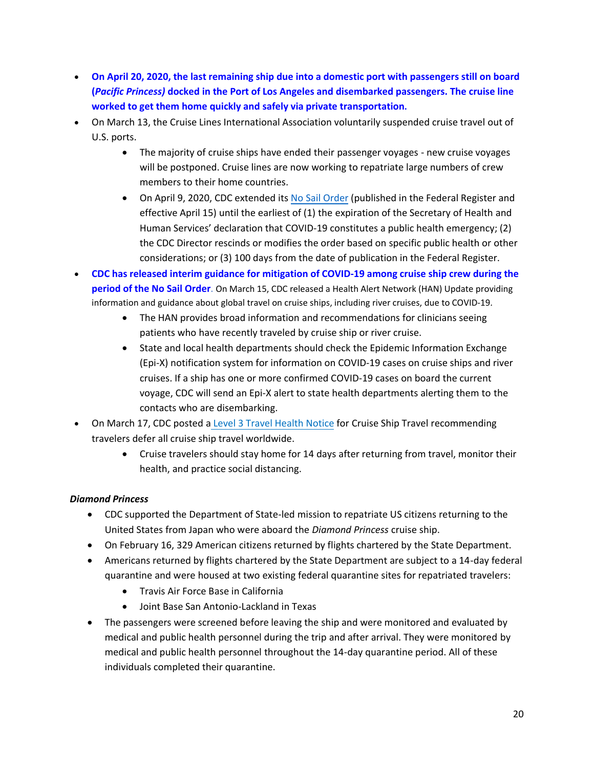- **On April 20, 2020, the last remaining ship due into a domestic port with passengers still on board (***Pacific Princess)* **docked in the Port of Los Angeles and disembarked passengers. The cruise line worked to get them home quickly and safely via private transportation.**
- On March 13, the Cruise Lines International Association voluntarily suspended cruise travel out of U.S. ports.
	- The majority of cruise ships have ended their passenger voyages new cruise voyages will be postponed. Cruise lines are now working to repatriate large numbers of crew members to their home countries.
	- On April 9, 2020, CDC extended its [No Sail Order](https://www.cdc.gov/quarantine/cruise/index.html) (published in the Federal Register and effective April 15) until the earliest of (1) the expiration of the Secretary of Health and Human Services' declaration that COVID-19 constitutes a public health emergency; (2) the CDC Director rescinds or modifies the order based on specific public health or other considerations; or (3) 100 days from the date of publication in the Federal Register.
- **CDC has released interim guidance for mitigation of COVID-19 among cruise ship crew during the period of the No Sail Order**. On March 15, CDC released a Health Alert Network (HAN) Update providing information and guidance about global travel on cruise ships, including river cruises, due to COVID-19.
	- The HAN provides broad information and recommendations for clinicians seeing patients who have recently traveled by cruise ship or river cruise.
	- State and local health departments should check th[e Epidemic Information Exchange](https://emergency.cdc.gov/epix/) [\(Epi-X\)](https://emergency.cdc.gov/epix/) notification system for information on COVID-19 cases on cruise ships and river cruises. If a ship has one or more confirmed COVID-19 cases on board the current voyage, CDC will send an Epi-X alert to state health departments alerting them to the contacts who are disembarking.
- On March 17, CDC posted a [Level 3 Travel Health Notice](https://wwwnc.cdc.gov/travel/notices/warning/coronavirus-cruise-ship) for Cruise Ship Travel recommending travelers defer all cruise ship travel worldwide.
	- Cruise travelers should stay home for 14 days after returning from travel, monitor their health, and practice social distancing.

# *Diamond Princess*

- CDC supported the Department of State-led mission to repatriate US citizens returning to the United States from Japan who were aboard the *Diamond Princess* cruise ship.
- On February 16, 329 American citizens returned by flights chartered by the State Department.
- Americans returned by flights chartered by the State Department are subject to a 14-day federal quarantine and were housed at two existing federal quarantine sites for repatriated travelers:
	- Travis Air Force Base in California
	- Joint Base San Antonio-Lackland in Texas
- The passengers were screened before leaving the ship and were monitored and evaluated by medical and public health personnel during the trip and after arrival. They were monitored by medical and public health personnel throughout the 14-day quarantine period. All of these individuals completed their quarantine.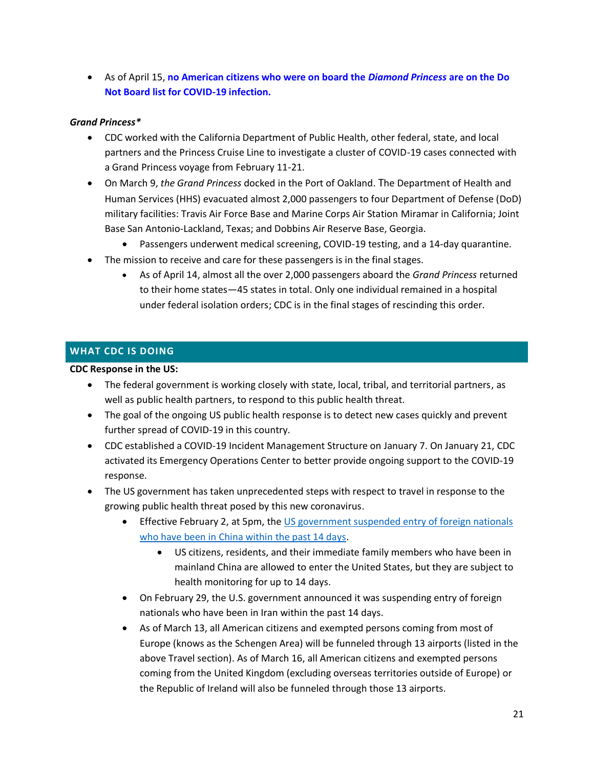• As of April 15, **no American citizens who were on board the** *Diamond Princess* **are on the Do Not Board list for COVID-19 infection.**

### *Grand Princess\**

- CDC worked with the California Department of Public Health, other federal, state, and local partners and the Princess Cruise Line to investigate a cluster of COVID-19 cases connected with a Grand Princess voyage from February 11-21.
- On March 9, *the Grand Princess* docked in the Port of Oakland. The Department of Health and Human Services (HHS) evacuated almost 2,000 passengers to four Department of Defense (DoD) military facilities: Travis Air Force Base and Marine Corps Air Station Miramar in California; Joint Base San Antonio-Lackland, Texas; and Dobbins Air Reserve Base, Georgia.
	- Passengers underwent medical screening, COVID-19 testing, and a 14-day quarantine.
- The mission to receive and care for these passengers is in the final stages.
	- As of April 14, almost all the over 2,000 passengers aboard the *Grand Princess* returned to their home states—45 states in total. Only one individual remained in a hospital under federal isolation orders; CDC is in the final stages of rescinding this order.

#### <span id="page-20-0"></span>**WHAT CDC IS DOING**

#### **CDC Response in the US:**

- The federal government is working closely with state, local, tribal, and territorial partners, as well as public health partners, to respond to this public health threat.
- The goal of the ongoing US public health response is to detect new cases quickly and prevent further spread of COVID-19 in this country.
- CDC established a COVID-19 Incident Management Structure on January 7. On January 21, CDC activated its Emergency Operations Center to better provide ongoing support to the COVID-19 response.
- The US government has taken unprecedented steps with respect to travel in response to the growing public health threat posed by this new coronavirus.
	- Effective February 2, at 5pm, the US government suspended entry of foreign nationals [who have been in China within the past 14 days.](https://www.whitehouse.gov/presidential-actions/proclamation-suspension-entry-immigrants-nonimmigrants-persons-pose-risk-transmitting-2019-novel-coronavirus/)
		- US citizens, residents, and their immediate family members who have been in mainland China are allowed to enter the United States, but they are subject to health monitoring for up to 14 days.
	- On February 29, the U.S. government announced it was suspending entry of foreign nationals who have been in Iran within the past 14 days.
	- As of March 13, all American citizens and exempted persons coming from most of Europe (knows as the Schengen Area) will be funneled through 13 airports (listed in the above Travel section). As of March 16, all American citizens and exempted persons coming from the United Kingdom (excluding overseas territories outside of Europe) or the Republic of Ireland will also be funneled through those 13 airports.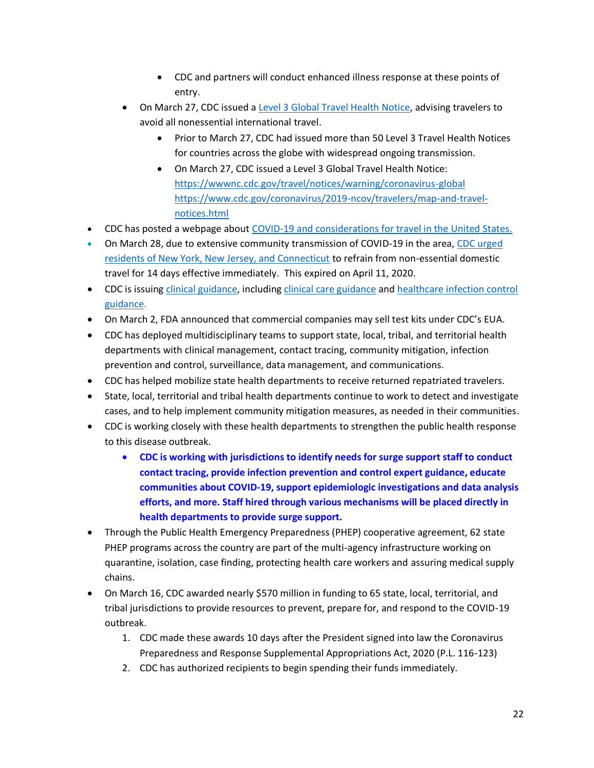- CDC and partners will conduct enhanced illness response at these points of entry.
- On March 27, CDC issued [a Level 3 Global Travel Health Notice,](https://wwwnc.cdc.gov/travel/notices/warning/coronavirus-global) advising travelers to avoid all nonessential international travel.
	- Prior to March 27, CDC had issued more than 50 Level 3 Travel Health Notices for countries across the globe with widespread ongoing transmission.
	- On March 27, CDC issued a Level 3 Global Travel Health Notice: <https://wwwnc.cdc.gov/travel/notices/warning/coronavirus-global> [https://www.cdc.gov/coronavirus/2019-ncov/travelers/map-and-travel](https://www.cdc.gov/coronavirus/2019-ncov/travelers/map-and-travel-notices.html)[notices.html](https://www.cdc.gov/coronavirus/2019-ncov/travelers/map-and-travel-notices.html)
- CDC has posted a webpage about [COVID-19 and considerations for travel in the United States.](https://www.cdc.gov/coronavirus/2019-ncov/travelers/travel-in-the-us.html)
- On March 28, due to extensive community transmission of COVID-19 in the area, CDC urged [residents of New York, New Jersey, and Connecticut](https://www.cdc.gov/media/releases/2020/s038-travel-advisory.html) to refrain from non-essential domestic travel for 14 days effective immediately. This expired on April 11, 2020.
- CDC is issuing [clinical guidance,](https://www.cdc.gov/coronavirus/2019-ncov/hcp/index.html) including [clinical care guidance](https://www.cdc.gov/coronavirus/2019-ncov/hcp/clinical-guidance-management-patients.html) an[d healthcare infection control](https://www.cdc.gov/coronavirus/2019-nCoV/hcp/infection-control.html)  [guidance.](https://www.cdc.gov/coronavirus/2019-nCoV/hcp/infection-control.html)
- On March 2, FDA announced that commercial companies may sell test kits under CDC's EUA.
- CDC has deployed multidisciplinary teams to support state, local, tribal, and territorial health departments with clinical management, contact tracing, community mitigation, infection prevention and control, surveillance, data management, and communications.
- CDC has helped mobilize state health departments to receive returned repatriated travelers.
- State, local, territorial and tribal health departments continue to work to detect and investigate cases, and to help implement community mitigation measures, as needed in their communities.
- CDC is working closely with these health departments to strengthen the public health response to this disease outbreak.
	- **CDC is working with jurisdictions to identify needs for surge support staff to conduct contact tracing, provide infection prevention and control expert guidance, educate communities about COVID-19, support epidemiologic investigations and data analysis efforts, and more. Staff hired through various mechanisms will be placed directly in health departments to provide surge support.**
- Through the Public Health Emergency Preparedness (PHEP) cooperative agreement, 62 state PHEP programs across the country are part of the multi-agency infrastructure working on quarantine, isolation, case finding, protecting health care workers and assuring medical supply chains.
- On March 16, CDC awarded nearly \$570 million in funding to 65 state, local, territorial, and tribal jurisdictions to provide resources to prevent, prepare for, and respond to the COVID-19 outbreak.
	- 1. CDC made these awards 10 days after the President signed into law the Coronavirus Preparedness and Response Supplemental Appropriations Act, 2020 (P.L. 116-123)
	- 2. CDC has authorized recipients to begin spending their funds immediately.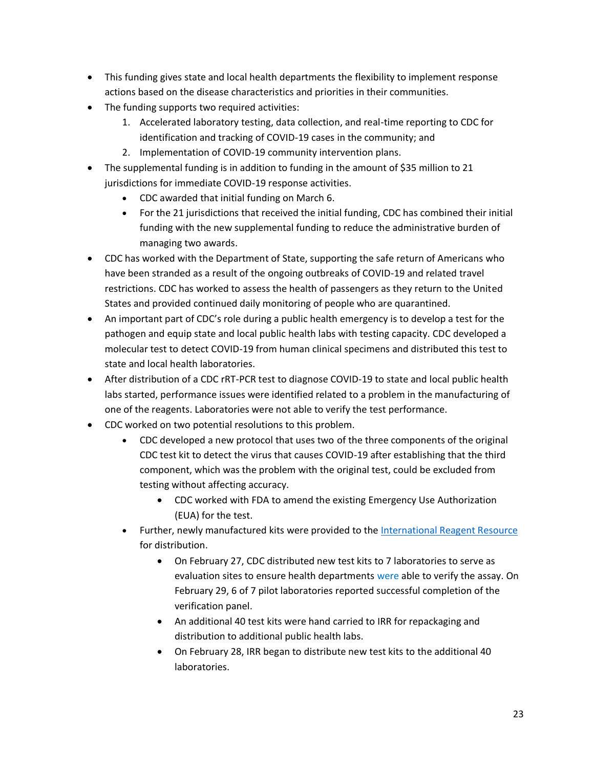- This funding gives state and local health departments the flexibility to implement response actions based on the disease characteristics and priorities in their communities.
- The funding supports two required activities:
	- 1. Accelerated laboratory testing, data collection, and real-time reporting to CDC for identification and tracking of COVID-19 cases in the community; and
	- 2. Implementation of COVID-19 community intervention plans.
- The supplemental funding is in addition to funding in the amount of \$35 million to 21 jurisdictions for immediate COVID-19 response activities.
	- CDC awarded that initial funding on March 6.
	- For the 21 jurisdictions that received the initial funding, CDC has combined their initial funding with the new supplemental funding to reduce the administrative burden of managing two awards.
- CDC has worked with the Department of State, supporting the safe return of Americans who have been stranded as a result of the ongoing outbreaks of COVID-19 and related travel restrictions. CDC has worked to assess the health of passengers as they return to the United States and provided continued daily monitoring of people who are quarantined.
- An important part of CDC's role during a public health emergency is to develop a test for the pathogen and equip state and local public health labs with testing capacity. CDC developed a molecular test to detect COVID-19 from human clinical specimens and distributed this test to state and local health laboratories.
- After distribution of a CDC rRT-PCR test to diagnose COVID-19 to state and local public health labs started, performance issues were identified related to a problem in the manufacturing of one of the reagents. Laboratories were not able to verify the test performance.
- CDC worked on two potential resolutions to this problem.
	- CDC developed a new protocol that uses two of the three components of the original CDC test kit to detect the virus that causes COVID-19 after establishing that the third component, which was the problem with the original test, could be excluded from testing without affecting accuracy.
		- CDC worked with FDA to amend the existing Emergency Use Authorization (EUA) for the test.
	- Further, newly manufactured kits were provided to the [International Reagent Resource](https://www.internationalreagentresource.org/) for distribution.
		- On February 27, CDC distributed new test kits to 7 laboratories to serve as evaluation sites to ensure health departments were able to verify the assay. On February 29, 6 of 7 pilot laboratories reported successful completion of the verification panel.
		- An additional 40 test kits were hand carried to IRR for repackaging and distribution to additional public health labs.
		- On February 28, IRR began to distribute new test kits to the additional 40 laboratories.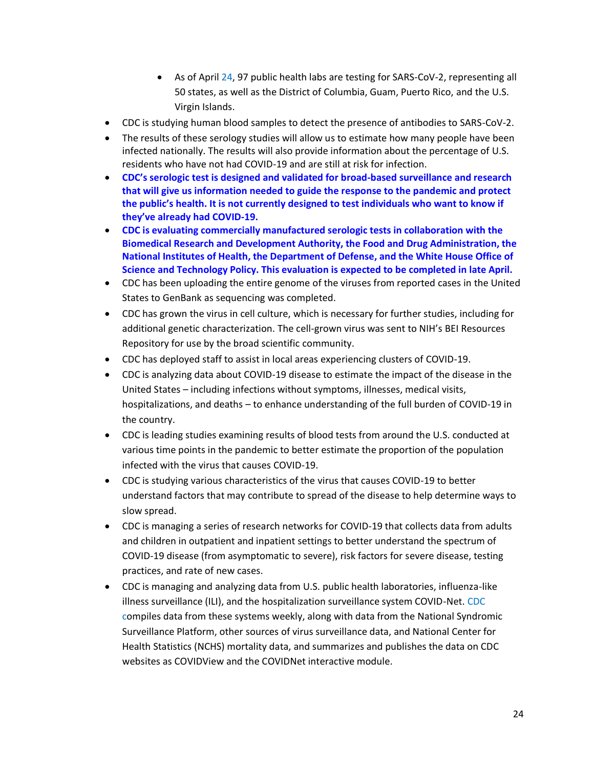- As of April 24, 97 public health labs are testing for SARS-CoV-2, representing all 50 states, as well as the District of Columbia, Guam, Puerto Rico, and the U.S. Virgin Islands.
- CDC is studying human blood samples to detect the presence of antibodies to SARS-CoV-2.
- The results of these serology studies will allow us to estimate how many people have been infected nationally. The results will also provide information about the percentage of U.S. residents who have not had COVID-19 and are still at risk for infection.
- **CDC's serologic test is designed and validated for broad-based surveillance and research that will give us information needed to guide the response to the pandemic and protect the public's health. It is not currently designed to test individuals who want to know if they've already had COVID-19.**
- **CDC is evaluating commercially manufactured serologic tests in collaboration with the Biomedical Research and Development Authority, the Food and Drug Administration, the National Institutes of Health, the Department of Defense, and the White House Office of Science and Technology Policy. This evaluation is expected to be completed in late April.**
- CDC has been uploading the entire genome of the viruses from reported cases in the United States to GenBank as sequencing was completed.
- CDC has grown the virus in cell culture, which is necessary for further studies, including for additional genetic characterization. The cell-grown virus was sent to NIH's BEI Resources Repository for use by the broad scientific community.
- CDC has deployed staff to assist in local areas experiencing clusters of COVID-19.
- CDC is analyzing data about COVID-19 disease to estimate the impact of the disease in the United States – including infections without symptoms, illnesses, medical visits, hospitalizations, and deaths – to enhance understanding of the full burden of COVID-19 in the country.
- CDC is leading studies examining results of blood tests from around the U.S. conducted at various time points in the pandemic to better estimate the proportion of the population infected with the virus that causes COVID-19.
- CDC is studying various characteristics of the virus that causes COVID-19 to better understand factors that may contribute to spread of the disease to help determine ways to slow spread.
- CDC is managing a series of research networks for COVID-19 that collects data from adults and children in outpatient and inpatient settings to better understand the spectrum of COVID-19 disease (from asymptomatic to severe), risk factors for severe disease, testing practices, and rate of new cases.
- CDC is managing and analyzing data from U.S. public health laboratories, influenza-like illness surveillance (ILI), and the hospitalization surveillance system COVID-Net. CDC compiles data from these systems weekly, along with data from the National Syndromic Surveillance Platform, other sources of virus surveillance data, and National Center for Health Statistics (NCHS) mortality data, and summarizes and publishes the data on CDC websites as COVIDView and the COVIDNet interactive module.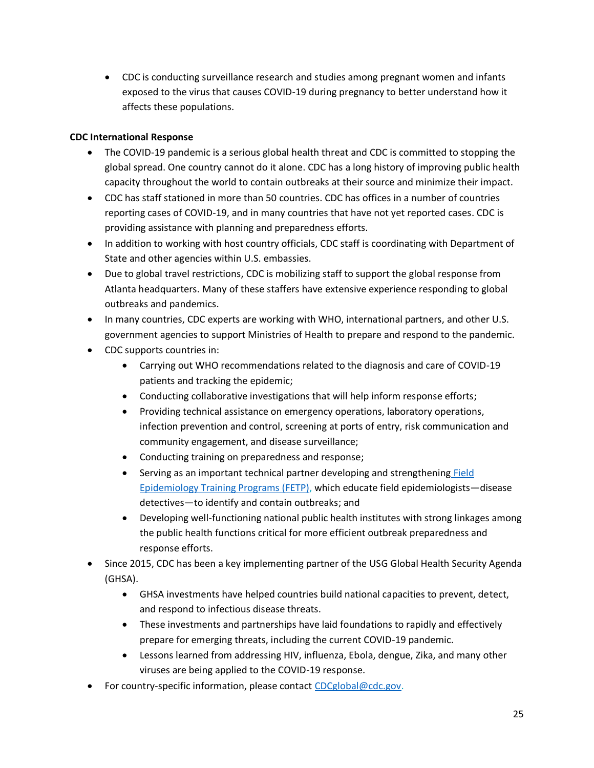• CDC is conducting surveillance research and studies among pregnant women and infants exposed to the virus that causes COVID-19 during pregnancy to better understand how it affects these populations.

# **CDC International Response**

- The COVID-19 pandemic is a serious global health threat and CDC is committed to stopping the global spread. One country cannot do it alone. CDC has a long history of improving public health capacity throughout the world to contain outbreaks at their source and minimize their impact.
- CDC has staff stationed in more than 50 countries. CDC has offices in a number of countries reporting cases of COVID-19, and in many countries that have not yet reported cases. CDC is providing assistance with planning and preparedness efforts.
- In addition to working with host country officials, CDC staff is coordinating with Department of State and other agencies within U.S. embassies.
- Due to global travel restrictions, CDC is mobilizing staff to support the global response from Atlanta headquarters. Many of these staffers have extensive experience responding to global outbreaks and pandemics.
- In many countries, CDC experts are working with WHO, international partners, and other U.S. government agencies to support Ministries of Health to prepare and respond to the pandemic.
- CDC supports countries in:
	- Carrying out WHO recommendations related to the diagnosis and care of COVID-19 patients and tracking the epidemic;
	- Conducting collaborative investigations that will help inform response efforts;
	- Providing technical assistance on emergency operations, laboratory operations, infection prevention and control, screening at ports of entry, risk communication and community engagement, and disease surveillance;
	- Conducting training on preparedness and response;
	- Serving as an important technical partner developing and strengthening Field [Epidemiology Training Programs \(FETP\),](https://www.cdc.gov/globalhealth/healthprotection/fetp/index.htm) which educate field epidemiologists—disease detectives—to identify and contain outbreaks; and
	- Developing well-functioning national public health institutes with strong linkages among the public health functions critical for more efficient outbreak preparedness and response efforts.
- Since 2015, CDC has been a key implementing partner of the USG Global Health Security Agenda (GHSA).
	- GHSA investments have helped countries build national capacities to prevent, detect, and respond to infectious disease threats.
	- These investments and partnerships have laid foundations to rapidly and effectively prepare for emerging threats, including the current COVID-19 pandemic.
	- Lessons learned from addressing HIV, influenza, Ebola, dengue, Zika, and many other viruses are being applied to the COVID-19 response.
- For country-specific information, please contact [CDCglobal@cdc.gov.](mailto:CDCglobal@cdc.gov)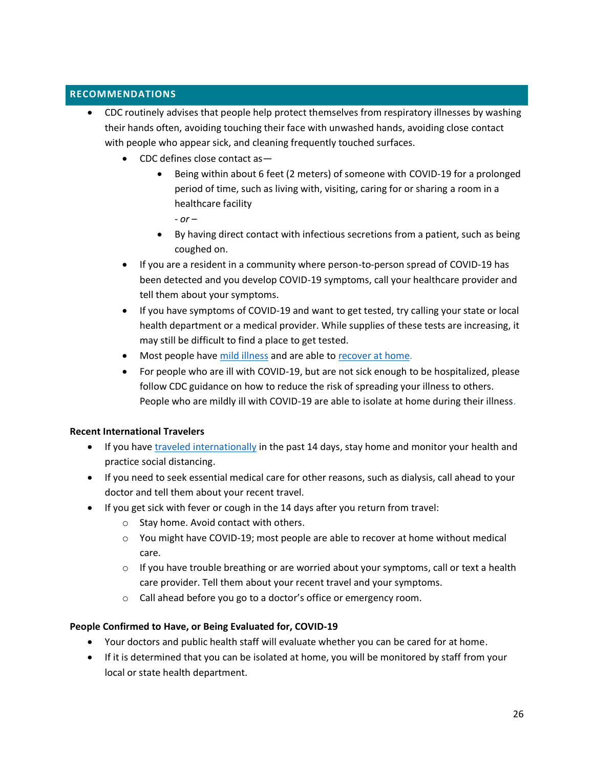# <span id="page-25-0"></span>**RECOMMENDATIONS**

- CDC routinely advises that people help protect themselves from respiratory illnesses by washing their hands often, avoiding touching their face with unwashed hands, avoiding close contact with people who appear sick, and cleaning frequently touched surfaces.
	- CDC defines close contact as—
		- Being within about 6 feet (2 meters) of someone with COVID-19 for a prolonged period of time, such as living with, visiting, caring for or sharing a room in a healthcare facility

- *or* –

- By having direct contact with infectious secretions from a patient, such as being coughed on.
- If you are a resident in a community where person-to-person spread of COVID-19 has been detected and you develop COVID-19 symptoms, call your healthcare provider and tell them about your symptoms.
- If you have symptoms of COVID-19 and want to get tested, try calling your state or local health department or a medical provider. While supplies of these tests are increasing, it may still be difficult to find a place to get tested.
- Most people have [mild illness](https://www.cdc.gov/coronavirus/2019-ncov/symptoms-testing/symptoms.html) and are able to [recover at home.](https://www.cdc.gov/coronavirus/2019-ncov/if-you-are-sick/steps-when-sick.html)
- For people who are ill with COVID-19, but are not sick enough to be hospitalized, please follow CDC guidance on how to reduce the risk of spreading your illness to others. People who are mildly ill with COVID-19 are able to isolate at home during their illness.

# **Recent International Travelers**

- If you hav[e traveled internationally](https://www.cdc.gov/coronavirus/2019-ncov/travelers/after-travel-precautions.html) in the past 14 days, stay home and monitor your health and practice social distancing.
- If you need to seek essential medical care for other reasons, such as dialysis, call ahead to your doctor and tell them about your recent travel.
- If you get sick with fever or cough in the 14 days after you return from travel:
	- o Stay home. Avoid contact with others.
	- o You might have COVID-19; most people are able to recover at home without medical care.
	- $\circ$  If you have trouble breathing or are worried about your symptoms, call or text a health care provider. Tell them about your recent travel and your symptoms.
	- o Call ahead before you go to a doctor's office or emergency room.

# **People Confirmed to Have, or Being Evaluated for, COVID-19**

- Your doctors and public health staff will evaluate whether you can be cared for at home.
- If it is determined that you can be isolated at home, you will be monitored by staff from your local or state health department.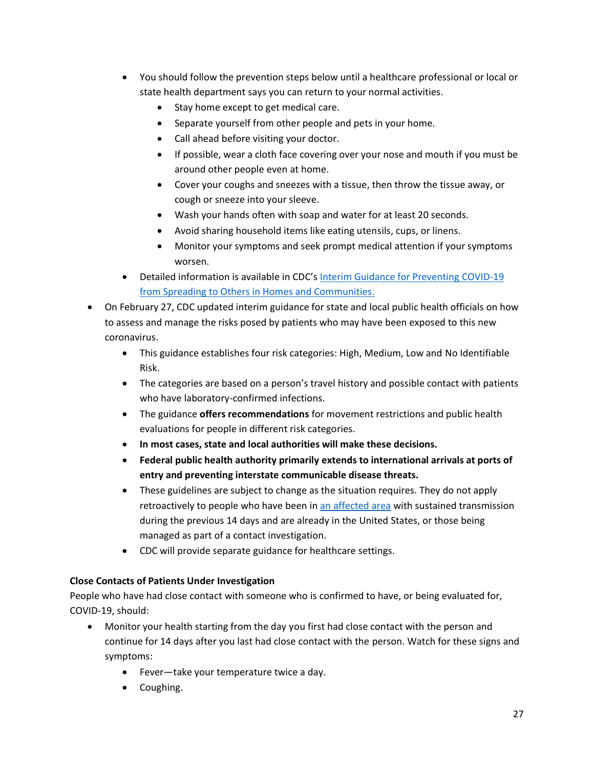- You should follow the prevention steps below until a healthcare professional or local or state health department says you can return to your normal activities.
	- Stay home except to get medical care.
	- Separate yourself from other people and pets in your home.
	- Call ahead before visiting your doctor.
	- If possible, wear a cloth face covering over your nose and mouth if you must be around other people even at home.
	- Cover your coughs and sneezes with a tissue, then throw the tissue away, or cough or sneeze into your sleeve.
	- Wash your hands often with soap and water for at least 20 seconds.
	- Avoid sharing household items like eating utensils, cups, or linens.
	- Monitor your symptoms and seek prompt medical attention if your symptoms worsen.
- Detailed information is available in CDC's [Interim Guidance for Preventing COVID-19](https://www.cdc.gov/coronavirus/2019-ncov/guidance-prevent-spread.html#steps-for-close-contacts) [from Spreading to Others in Homes and Communities.](https://www.cdc.gov/coronavirus/2019-ncov/guidance-prevent-spread.html#steps-for-close-contacts)
- On February 27, CDC updated interim guidance for state and local public health officials on how to assess and manage the risks posed by patients who may have been exposed to this new coronavirus.
	- This guidance establishes four risk categories: High, Medium, Low and No Identifiable Risk.
	- The categories are based on a person's travel history and possible contact with patients who have laboratory-confirmed infections.
	- The guidance **offers recommendations** for movement restrictions and public health evaluations for people in different risk categories.
	- **In most cases, state and local authorities will make these decisions.**
	- **Federal public health authority primarily extends to international arrivals at ports of entry and preventing interstate communicable disease threats.**
	- These guidelines are subject to change as the situation requires. They do not apply retroactively to people who have been in [an affected area](https://www.cdc.gov/coronavirus/2019-ncov/about/transmission.html#geographic) with sustained transmission during the previous 14 days and are already in the United States, or those being managed as part of a contact investigation.
	- CDC will provide separate guidance for healthcare settings.

# **Close Contacts of Patients Under Investigation**

People who have had close contact with someone who is confirmed to have, or being evaluated for, COVID-19, should:

- Monitor your health starting from the day you first had close contact with the person and continue for 14 days after you last had close contact with the person. Watch for these signs and symptoms:
	- Fever—take your temperature twice a day.
	- Coughing.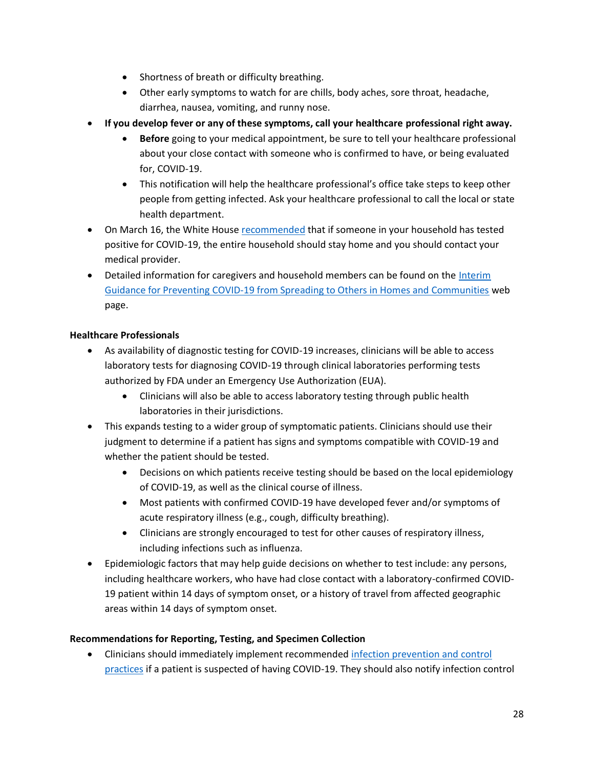- Shortness of breath or difficulty breathing.
- Other early symptoms to watch for are chills, body aches, sore throat, headache, diarrhea, nausea, vomiting, and runny nose.
- **If you develop fever or any of these symptoms, call your healthcare professional right away.**
	- **Before** going to your medical appointment, be sure to tell your healthcare professional about your close contact with someone who is confirmed to have, or being evaluated for, COVID-19.
	- This notification will help the healthcare professional's office take steps to keep other people from getting infected. Ask your healthcare professional to call the local or state health department.
- On March 16, the White House [recommended](https://www.whitehouse.gov/wp-content/uploads/2020/03/03.16.20_coronavirus-guidance_8.5x11_315PM.pdf) that if someone in your household has tested positive for COVID-19, the entire household should stay home and you should contact your medical provider.
- Detailed information for caregivers and household members can be found on the Interim Guidance for Preventing COVID-19 [from Spreading to Others in Homes and Communities](https://www.cdc.gov/coronavirus/2019-ncov/guidance-prevent-spread.html#steps-for-close-contacts) web page.

# **Healthcare Professionals**

- As availability of diagnostic testing for COVID-19 increases, clinicians will be able to access laboratory tests for diagnosing COVID-19 through clinical laboratories performing tests authorized by FDA under an Emergency Use Authorization (EUA).
	- Clinicians will also be able to access laboratory testing through public health laboratories in their jurisdictions.
- This expands testing to a wider group of symptomatic patients. Clinicians should use their judgment to determine if a patient has signs and symptoms compatible with COVID-19 and whether the patient should be tested.
	- Decisions on which patients receive testing should be based on the local epidemiology of COVID-19, as well as the clinical course of illness.
	- Most patients with confirmed COVID-19 have developed fever and/or symptoms of acute respiratory illness (e.g., cough, difficulty breathing).
	- Clinicians are strongly encouraged to test for other causes of respiratory illness, including infections such as influenza.
- Epidemiologic factors that may help guide decisions on whether to test include: any persons, including healthcare workers, who have had close contact with a laboratory-confirmed COVID-19 patient within 14 days of symptom onset, or a history of travel from affected geographic areas within 14 days of symptom onset.

# **Recommendations for Reporting, Testing, and Specimen Collection**

• Clinicians should immediately implement recommended [infection prevention and control](https://www.cdc.gov/coronavirus/2019-ncov/infection-control/control-recommendations.html)  [practices](https://www.cdc.gov/coronavirus/2019-ncov/infection-control/control-recommendations.html) if a patient is suspected of having COVID-19. They should also notify infection control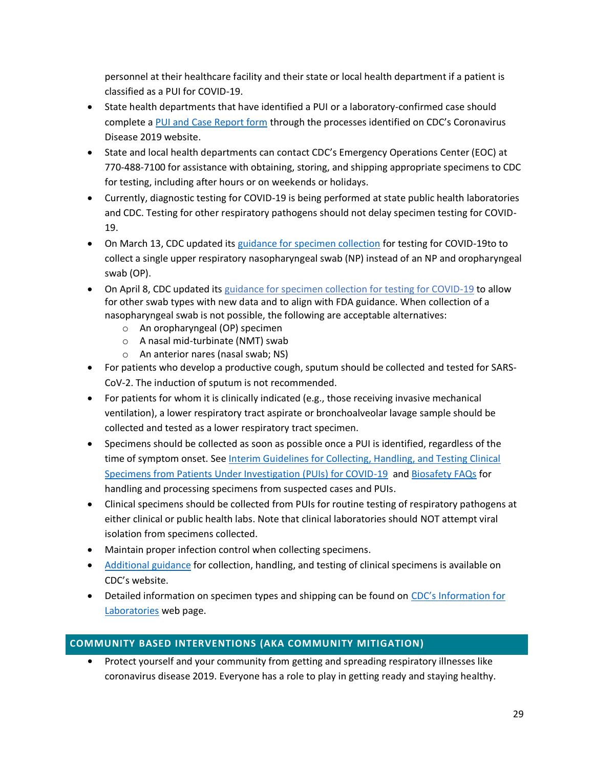personnel at their healthcare facility and their state or local health department if a patient is classified as a PUI for COVID-19.

- State health departments that have identified a PUI or a laboratory-confirmed case should complete a [PUI and Case Report form](https://www.cdc.gov/coronavirus/2019-ncov/php/reporting-pui.html) through the processes identified on CDC's Coronavirus Disease 2019 website.
- State and local health departments can contact CDC's Emergency Operations Center (EOC) at 770-488-7100 for assistance with obtaining, storing, and shipping appropriate specimens to CDC for testing, including after hours or on weekends or holidays.
- Currently, diagnostic testing for COVID-19 is being performed at state public health laboratories and CDC. Testing for other respiratory pathogens should not delay specimen testing for COVID-19.
- On March 13, CDC updated its [guidance for specimen collection](https://www.cdc.gov/coronavirus/2019-nCoV/lab/guidelines-clinical-specimens.html) for testing for COVID-19to to collect a single upper respiratory nasopharyngeal swab (NP) instead of an NP and oropharyngeal swab (OP).
- On April 8, CDC updated its [guidance for specimen collection for testing for COVID-19](https://www.cdc.gov/coronavirus/2019-nCoV/lab/guidelines-clinical-specimens.html) to allow for other swab types with new data and to align with FDA guidance. When collection of a nasopharyngeal swab is not possible, the following are acceptable alternatives:
	- o An oropharyngeal (OP) specimen
	- o A nasal mid-turbinate (NMT) swab
	- o An anterior nares (nasal swab; NS)
- For patients who develop a productive cough, sputum should be collected and tested for SARS-CoV-2. The induction of sputum is not recommended.
- For patients for whom it is clinically indicated (e.g., those receiving invasive mechanical ventilation), a lower respiratory tract aspirate or bronchoalveolar lavage sample should be collected and tested as a lower respiratory tract specimen.
- Specimens should be collected as soon as possible once a PUI is identified, regardless of the time of symptom onset. See Interim Guidelines for Collecting, Handling, and Testing Clinical [Specimens from Patients Under Investigation \(PUIs\) for COVID-19](https://www.cdc.gov/coronavirus/2019-nCoV/lab/guidelines-clinical-specimens.html) and [Biosafety FAQs](https://www.cdc.gov/coronavirus/2019-ncov/lab/biosafety-faqs.html) for handling and processing specimens from suspected cases and PUIs.
- Clinical specimens should be collected from PUIs for routine testing of respiratory pathogens at either clinical or public health labs. Note that clinical laboratories should NOT attempt viral isolation from specimens collected.
- Maintain proper infection control when collecting specimens.
- [Additional guidance](https://www.cdc.gov/coronavirus/2019-nCoV/hcp/clinical-criteria.html) for collection, handling, and testing of clinical specimens is available on CDC's website.
- Detailed information on specimen types and shipping can be found on CDC's Information for [Laboratories](https://www.cdc.gov/coronavirus/2019-nCoV/lab/index.html) web page.

# <span id="page-28-0"></span>**COMMUNITY BASED INTERVENTIONS (AKA COMMUNITY MITIGATION)**

**•** Protect yourself and your community from getting and spreading respiratory illnesses like coronavirus disease 2019. Everyone has a role to play in getting ready and staying healthy.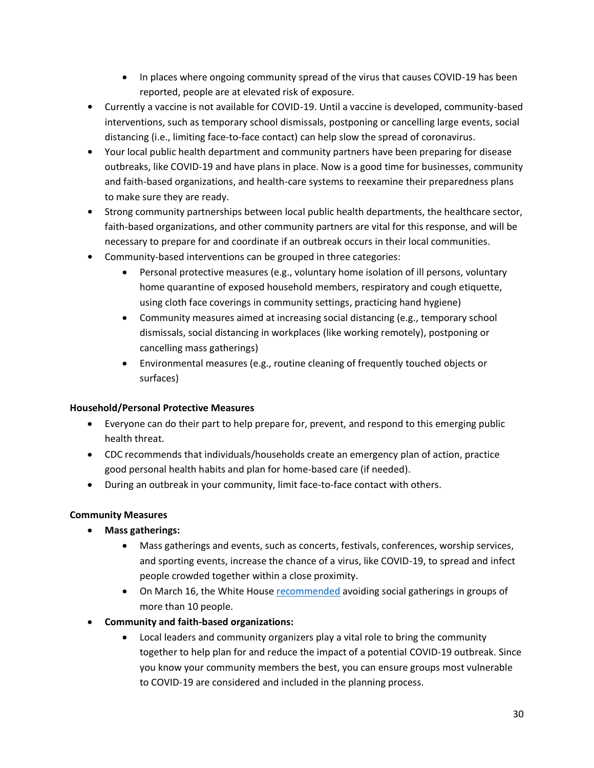- In places where ongoing community spread of the virus that causes COVID-19 has been reported, people are at elevated risk of exposure.
- **•** Currently a vaccine is not available for COVID-19. Until a vaccine is developed, community-based interventions, such as temporary school dismissals, postponing or cancelling large events, social distancing (i.e., limiting face-to-face contact) can help slow the spread of coronavirus.
- **•** Your local public health department and community partners have been preparing for disease outbreaks, like COVID-19 and have plans in place. Now is a good time for businesses, community and faith-based organizations, and health-care systems to reexamine their preparedness plans to make sure they are ready.
- **•** Strong community partnerships between local public health departments, the healthcare sector, faith-based organizations, and other community partners are vital for this response, and will be necessary to prepare for and coordinate if an outbreak occurs in their local communities.
- **•** Community-based interventions can be grouped in three categories:
	- Personal protective measures (e.g., voluntary home isolation of ill persons, voluntary home quarantine of exposed household members, respiratory and cough etiquette, using cloth face coverings in community settings, practicing hand hygiene)
	- Community measures aimed at increasing social distancing (e.g., temporary school dismissals, social distancing in workplaces (like working remotely), postponing or cancelling mass gatherings)
	- Environmental measures (e.g., routine cleaning of frequently touched objects or surfaces)

# **Household/Personal Protective Measures**

- Everyone can do their part to help prepare for, prevent, and respond to this emerging public health threat.
- CDC recommends that individuals/households create an emergency plan of action, practice good personal health habits and plan for home-based care (if needed).
- During an outbreak in your community, limit face-to-face contact with others.

# **Community Measures**

- **Mass gatherings:**
	- Mass gatherings and events, such as concerts, festivals, conferences, worship services, and sporting events, increase the chance of a virus, like COVID-19, to spread and infect people crowded together within a close proximity.
	- On March 16, the White House [recommended](https://www.whitehouse.gov/wp-content/uploads/2020/03/03.16.20_coronavirus-guidance_8.5x11_315PM.pdfhttps:/www.whitehouse.gov/wp-content/uploads/2020/03/03.16.20_coronavirus-guidance_8.5x11_315PM.pdf) avoiding social gatherings in groups of more than 10 people.
- **Community and faith-based organizations:**
	- Local leaders and community organizers play a vital role to bring the community together to help plan for and reduce the impact of a potential COVID-19 outbreak. Since you know your community members the best, you can ensure groups most vulnerable to COVID-19 are considered and included in the planning process.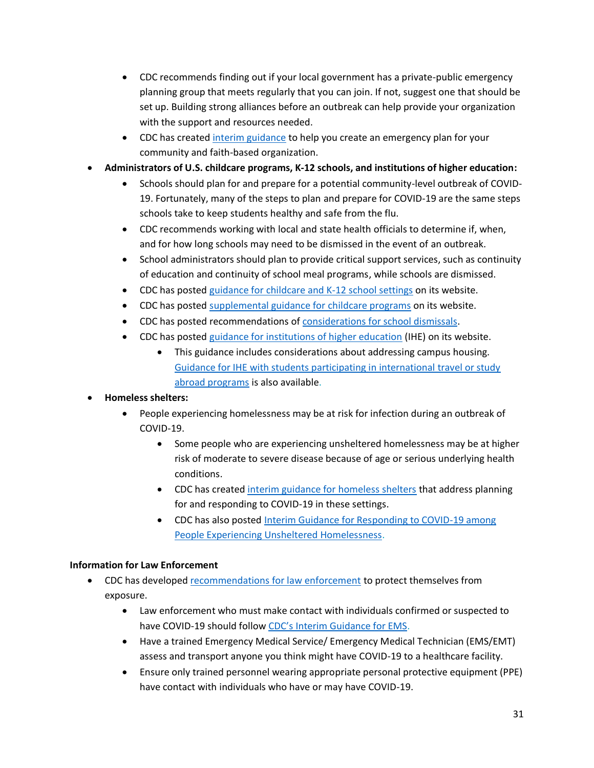- CDC recommends finding out if your local government has a private-public emergency planning group that meets regularly that you can join. If not, suggest one that should be set up. Building strong alliances before an outbreak can help provide your organization with the support and resources needed.
- CDC has created [interim guidance](https://www.cdc.gov/coronavirus/2019-ncov/community/organizations/index.html) to help you create an emergency plan for your community and faith-based organization.

# • **Administrators of U.S. childcare programs, K-12 schools, and institutions of higher education:**

- Schools should plan for and prepare for a potential community-level outbreak of COVID-19. Fortunately, many of the steps to plan and prepare for COVID-19 are the same steps schools take to keep students healthy and safe from the flu.
- CDC recommends working with local and state health officials to determine if, when, and for how long schools may need to be dismissed in the event of an outbreak.
- School administrators should plan to provide critical support services, such as continuity of education and continuity of school meal programs, while schools are dismissed.
- CDC has posted guidance for [childcare and K-12](https://www.cdc.gov/coronavirus/2019-ncov/community/schools-childcare/index.html) school settings on its website.
- CDC has posted [supplemental guidance for childcare programs](https://www.cdc.gov/coronavirus/2019-ncov/community/schools-childcare/guidance-for-childcare.html) on its website.
- CDC has posted recommendations of [considerations for school dismissals.](https://www.cdc.gov/coronavirus/2019-ncov/downloads/considerations-for-school-closure.pdf)
- CDC has posted [guidance for institutions of higher education](https://www.cdc.gov/coronavirus/2019-ncov/community/guidance-ihe-response.html) (IHE) on its website.
	- This guidance includes considerations about addressing campus housing. [Guidance for IHE with students participating in international travel or study](https://www.cdc.gov/coronavirus/2019-ncov/community/student-foreign-travel.html)  [abroad programs](https://www.cdc.gov/coronavirus/2019-ncov/community/student-foreign-travel.html) is also available.

# • **Homeless shelters:**

- People experiencing homelessness may be at risk for infection during an outbreak of COVID-19.
	- Some people who are experiencing unsheltered homelessness may be at higher risk of moderate to severe disease because of age or serious underlying health conditions.
	- CDC has created [interim guidance for homeless shelters](https://www.cdc.gov/coronavirus/2019-ncov/community/homeless-shelters/plan-prepare-respond.html) that address planning for and responding to COVID-19 in these settings.
	- CDC has also posted [Interim Guidance for Responding to COVID-19 among](https://www.cdc.gov/coronavirus/2019-ncov/community/homeless-shelters/unsheltered-homelessness.html)  [People Experiencing Unsheltered Homelessness.](https://www.cdc.gov/coronavirus/2019-ncov/community/homeless-shelters/unsheltered-homelessness.html)

# **Information for Law Enforcement**

- CDC has developed [recommendations for law enforcement](https://www.cdc.gov/coronavirus/2019-ncov/community/guidance-law-enforcement.html) to protect themselves from exposure.
	- Law enforcement who must make contact with individuals confirmed or suspected to have COVID-19 should follow [CDC's Interim Guidance for EMS](https://www.cdc.gov/coronavirus/2019-ncov/hcp/guidance-for-ems.html).
	- Have a trained Emergency Medical Service/ Emergency Medical Technician (EMS/EMT) assess and transport anyone you think might have COVID-19 to a healthcare facility.
	- Ensure only trained personnel wearing appropriate personal protective equipment (PPE) have contact with individuals who have or may have COVID-19.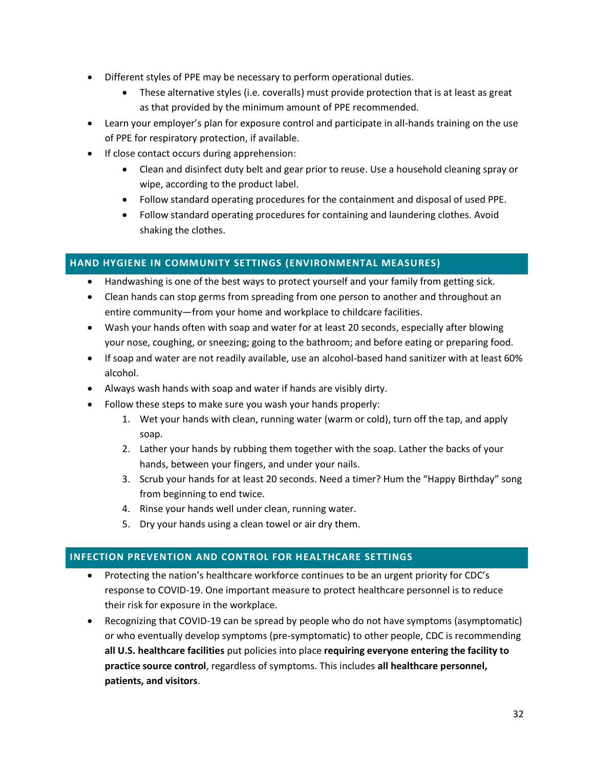- Different styles of PPE may be necessary to perform operational duties.
	- These alternative styles (i.e. coveralls) must provide protection that is at least as great as that provided by the minimum amount of PPE recommended.
- Learn your employer's plan for exposure control and participate in all-hands training on the use of PPE for respiratory protection, if available.
- If close contact occurs during apprehension:
	- Clean and disinfect duty belt and gear prior to reuse. Use a household cleaning spray or wipe, according to the product label.
	- Follow standard operating procedures for the containment and disposal of used PPE.
	- Follow standard operating procedures for containing and laundering clothes. Avoid shaking the clothes.

# <span id="page-31-0"></span>**HAND HYGIENE IN COMMUNITY SETTINGS (ENVIRONMENTAL MEASURES)**

- Handwashing is one of the best ways to protect yourself and your family from getting sick.
- Clean hands can stop germs from spreading from one person to another and throughout an entire community—from your home and workplace to childcare facilities.
- Wash your hands often with soap and water for at least 20 seconds, especially after blowing your nose, coughing, or sneezing; going to the bathroom; and before eating or preparing food.
- If soap and water are not readily available, use an alcohol-based hand sanitizer with at least 60% alcohol.
- Always wash hands with soap and water if hands are visibly dirty.
- Follow these steps to make sure you wash your hands properly:
	- 1. Wet your hands with clean, running water (warm or cold), turn off the tap, and apply soap.
	- 2. Lather your hands by rubbing them together with the soap. Lather the backs of your hands, between your fingers, and under your nails.
	- 3. Scrub your hands for at least 20 seconds. Need a timer? Hum the "Happy Birthday" song from beginning to end twice.
	- 4. Rinse your hands well under clean, running water.
	- 5. Dry your hands using a clean towel or air dry them.

# <span id="page-31-1"></span>**INFECTION PREVENTION AND CONTROL FOR HEALTHCARE SETTINGS**

- Protecting the nation's healthcare workforce continues to be an urgent priority for CDC's response to COVID-19. One important measure to protect healthcare personnel is to reduce their risk for exposure in the workplace.
- Recognizing that COVID-19 can be spread by people who do not have symptoms (asymptomatic) or who eventually develop symptoms (pre-symptomatic) to other people, CDC is recommending **all U.S. healthcare facilities** put policies into place **requiring everyone entering the facility to practice source control**, regardless of symptoms. This includes **all healthcare personnel, patients, and visitors**.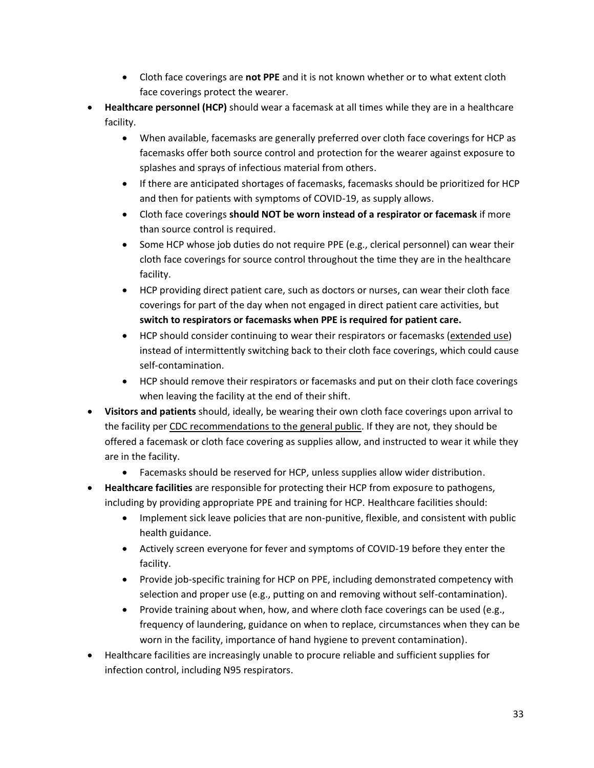- Cloth face coverings are **not PPE** and it is not known whether or to what extent cloth face coverings protect the wearer.
- **Healthcare personnel (HCP)** should wear a facemask at all times while they are in a healthcare facility.
	- When available, facemasks are generally preferred over cloth face coverings for HCP as facemasks offer both source control and protection for the wearer against exposure to splashes and sprays of infectious material from others.
	- If there are anticipated shortages of facemasks, facemasks should be prioritized for HCP and then for patients with symptoms of COVID-19, as supply allows.
	- Cloth face coverings **should NOT be worn instead of a respirator or facemask** if more than source control is required.
	- Some HCP whose job duties do not require PPE (e.g., clerical personnel) can wear their cloth face coverings for source control throughout the time they are in the healthcare facility.
	- HCP providing direct patient care, such as doctors or nurses, can wear their cloth face coverings for part of the day when not engaged in direct patient care activities, but **switch to respirators or facemasks when PPE is required for patient care.**
	- HCP should consider continuing to wear their respirators or facemasks [\(extended use\)](https://www.cdc.gov/coronavirus/2019-ncov/hcp/ppe-strategy/index.html) instead of intermittently switching back to their cloth face coverings, which could cause self-contamination.
	- HCP should remove their respirators or facemasks and put on their cloth face coverings when leaving the facility at the end of their shift.
- **Visitors and patients** should, ideally, be wearing their own cloth face coverings upon arrival to the facility per [CDC recommendations to the general public.](https://www.cdc.gov/coronavirus/2019-ncov/prevent-getting-sick/cloth-face-cover.html) If they are not, they should be offered a facemask or cloth face covering as supplies allow, and instructed to wear it while they are in the facility.
	- Facemasks should be reserved for HCP, unless supplies allow wider distribution.
- **Healthcare facilities** are responsible for protecting their HCP from exposure to pathogens, including by providing appropriate PPE and training for HCP. Healthcare facilities should:
	- Implement sick leave policies that are non-punitive, flexible, and consistent with public health guidance.
	- Actively screen everyone for fever and symptoms of COVID-19 before they enter the facility.
	- Provide job-specific training for HCP on PPE, including demonstrated competency with selection and proper use (e.g., putting on and removing without self-contamination).
	- Provide training about when, how, and where cloth face coverings can be used (e.g., frequency of laundering, guidance on when to replace, circumstances when they can be worn in the facility, importance of hand hygiene to prevent contamination).
- Healthcare facilities are increasingly unable to procure reliable and sufficient supplies for infection control, including N95 respirators.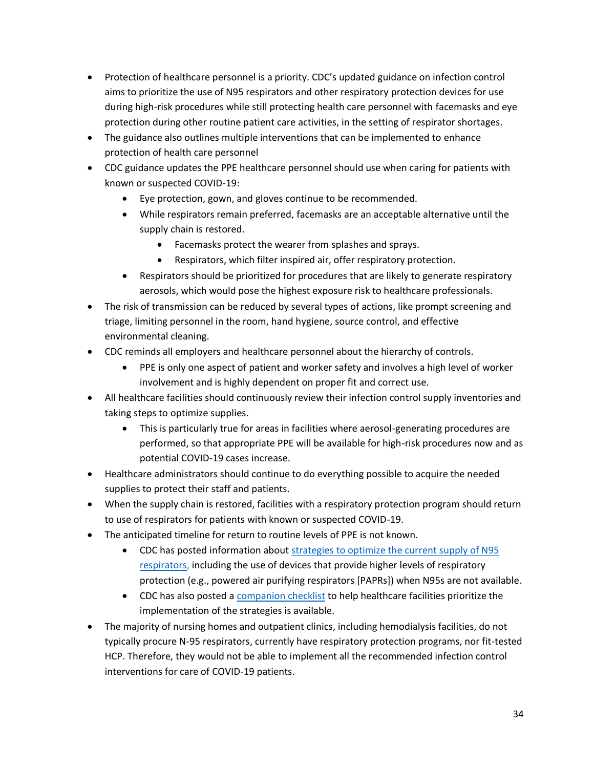- Protection of healthcare personnel is a priority. CDC's updated guidance on infection control aims to prioritize the use of N95 respirators and other respiratory protection devices for use during high-risk procedures while still protecting health care personnel with facemasks and eye protection during other routine patient care activities, in the setting of respirator shortages.
- The guidance also outlines multiple interventions that can be implemented to enhance protection of health care personnel
- CDC guidance updates the PPE healthcare personnel should use when caring for patients with known or suspected COVID-19:
	- Eye protection, gown, and gloves continue to be recommended.
	- While respirators remain preferred, facemasks are an acceptable alternative until the supply chain is restored.
		- Facemasks protect the wearer from splashes and sprays.
		- Respirators, which filter inspired air, offer respiratory protection.
	- Respirators should be prioritized for procedures that are likely to generate respiratory aerosols, which would pose the highest exposure risk to healthcare professionals.
- The risk of transmission can be reduced by several types of actions, like prompt screening and triage, limiting personnel in the room, hand hygiene, source control, and effective environmental cleaning.
- CDC reminds all employers and healthcare personnel about the hierarchy of controls.
	- PPE is only one aspect of patient and worker safety and involves a high level of worker involvement and is highly dependent on proper fit and correct use.
- All healthcare facilities should continuously review their infection control supply inventories and taking steps to optimize supplies.
	- This is particularly true for areas in facilities where aerosol-generating procedures are performed, so that appropriate PPE will be available for high-risk procedures now and as potential COVID-19 cases increase.
- Healthcare administrators should continue to do everything possible to acquire the needed supplies to protect their staff and patients.
- When the supply chain is restored, facilities with a respiratory protection program should return to use of respirators for patients with known or suspected COVID-19.
- The anticipated timeline for return to routine levels of PPE is not known.
	- CDC has posted information about [strategies to optimize the current supply of N95](https://www.cdc.gov/coronavirus/2019-ncov/hcp/respirators-strategy/index.html)  [respirators,](https://www.cdc.gov/coronavirus/2019-ncov/hcp/respirators-strategy/index.html) including the use of devices that provide higher levels of respiratory protection (e.g., powered air purifying respirators [PAPRs]) when N95s are not available.
	- CDC has also posted a [companion checklist](https://www.cdc.gov/coronavirus/2019-ncov/hcp/checklist-n95-strategy.html) to help healthcare facilities prioritize the implementation of the strategies is available.
- The majority of nursing homes and outpatient clinics, including hemodialysis facilities, do not typically procure N-95 respirators, currently have respiratory protection programs, nor fit-tested HCP. Therefore, they would not be able to implement all the recommended infection control interventions for care of COVID-19 patients.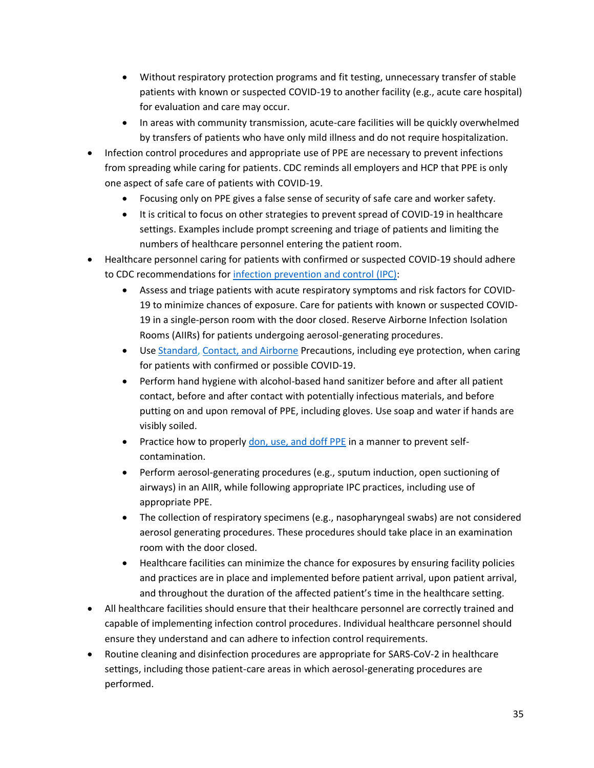- Without respiratory protection programs and fit testing, unnecessary transfer of stable patients with known or suspected COVID-19 to another facility (e.g., acute care hospital) for evaluation and care may occur.
- In areas with community transmission, acute-care facilities will be quickly overwhelmed by transfers of patients who have only mild illness and do not require hospitalization.
- Infection control procedures and appropriate use of PPE are necessary to prevent infections from spreading while caring for patients. CDC reminds all employers and HCP that PPE is only one aspect of safe care of patients with COVID-19.
	- Focusing only on PPE gives a false sense of security of safe care and worker safety.
	- It is critical to focus on other strategies to prevent spread of COVID-19 in healthcare settings. Examples include prompt screening and triage of patients and limiting the numbers of healthcare personnel entering the patient room.
- Healthcare personnel caring for patients with confirmed or suspected COVID-19 should adhere to CDC recommendations for [infection prevention and control](https://www.cdc.gov/coronavirus/2019-nCoV/hcp/infection-control.html) (IPC):
	- Assess and triage patients with acute respiratory symptoms and risk factors for COVID-19 to minimize chances of exposure. Care for patients with known or suspected COVID-19 in a single-person room with the door closed. Reserve Airborne Infection Isolation Rooms (AIIRs) for patients undergoing aerosol-generating procedures.
	- Use [Standard,](https://www.cdc.gov/infectioncontrol/basics/standard-precautions.html) [Contact, and Airborne](https://www.cdc.gov/infectioncontrol/guidelines/isolation/index.html) Precautions, including eye protection, when caring for patients with confirmed or possible COVID-19.
	- Perform hand hygiene with alcohol-based hand sanitizer before and after all patient contact, before and after contact with potentially infectious materials, and before putting on and upon removal of PPE, including gloves. Use soap and water if hands are visibly soiled.
	- Practice how to properly [don, use, and doff PPE](https://www.cdc.gov/hai/pdfs/ppe/PPE-Sequence.pdf) in a manner to prevent selfcontamination.
	- Perform aerosol-generating procedures (e.g., sputum induction, open suctioning of airways) in an AIIR, while following appropriate IPC practices, including use of appropriate PPE.
	- The collection of respiratory specimens (e.g., nasopharyngeal swabs) are not considered aerosol generating procedures. These procedures should take place in an examination room with the door closed.
	- Healthcare facilities can minimize the chance for exposures by ensuring facility policies and practices are in place and implemented before patient arrival, upon patient arrival, and throughout the duration of the affected patient's time in the healthcare setting.
- All healthcare facilities should ensure that their healthcare personnel are correctly trained and capable of implementing infection control procedures. Individual healthcare personnel should ensure they understand and can adhere to infection control requirements.
- Routine cleaning and disinfection procedures are appropriate for SARS-CoV-2 in healthcare settings, including those patient-care areas in which aerosol-generating procedures are performed.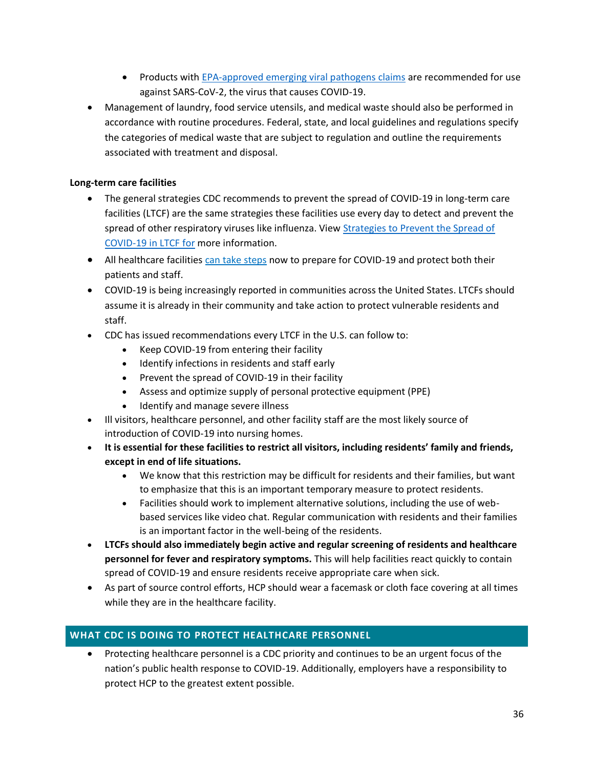- Products with [EPA-approved emerging viral pathogens claims](https://www.epa.gov/pesticide-registration/guidance-registrants-process-making-claims-against-emerging-viral-pathogens) are recommended for use against SARS-CoV-2, the virus that causes COVID-19.
- Management of laundry, food service utensils, and medical waste should also be performed in accordance with routine procedures. Federal, state, and local guidelines and regulations specify the categories of medical waste that are subject to regulation and outline the requirements associated with treatment and disposal.

# **Long-term care facilities**

- The general strategies CDC recommends to prevent the spread of COVID-19 in long-term care facilities (LTCF) are the same strategies these facilities use every day to detect and prevent the spread of other respiratory viruses like influenza. View Strategies to Prevent the Spread of [COVID-19 in LTCF for](https://www.cdc.gov/coronavirus/2019-ncov/healthcare-facilities/prevent-spread-in-long-term-care-facilities.html) more information.
- All [healthcare facilities can take steps](https://www.cdc.gov/coronavirus/2019-ncov/healthcare-facilities/steps-to-prepare.html) now to prepare for COVID-19 and protect both their patients and staff.
- COVID-19 is being increasingly reported in communities across the United States. LTCFs should assume it is already in their community and take action to protect vulnerable residents and staff.
- CDC has issued recommendations every LTCF in the U.S. can follow to:
	- Keep COVID-19 from entering their facility
	- Identify infections in residents and staff early
	- Prevent the spread of COVID-19 in their facility
	- Assess and optimize supply of personal protective equipment (PPE)
	- Identify and manage severe illness
- Ill visitors, healthcare personnel, and other facility staff are the most likely source of introduction of COVID-19 into nursing homes.
- **It is essential for these facilities to restrict all visitors, including residents' family and friends, except in end of life situations.**
	- We know that this restriction may be difficult for residents and their families, but want to emphasize that this is an important temporary measure to protect residents.
	- Facilities should work to implement alternative solutions, including the use of webbased services like video chat. Regular communication with residents and their families is an important factor in the well-being of the residents.
- **LTCFs should also immediately begin active and regular screening of residents and healthcare personnel for fever and respiratory symptoms.** This will help facilities react quickly to contain spread of COVID-19 and ensure residents receive appropriate care when sick.
- As part of source control efforts, HCP should wear a facemask or cloth face covering at all times while they are in the healthcare facility.

# <span id="page-35-0"></span>**WHAT CDC IS DOING TO PROTECT HEALTHCARE PERSONNEL**

• Protecting healthcare personnel is a CDC priority and continues to be an urgent focus of the nation's public health response to COVID-19. Additionally, employers have a responsibility to protect HCP to the greatest extent possible.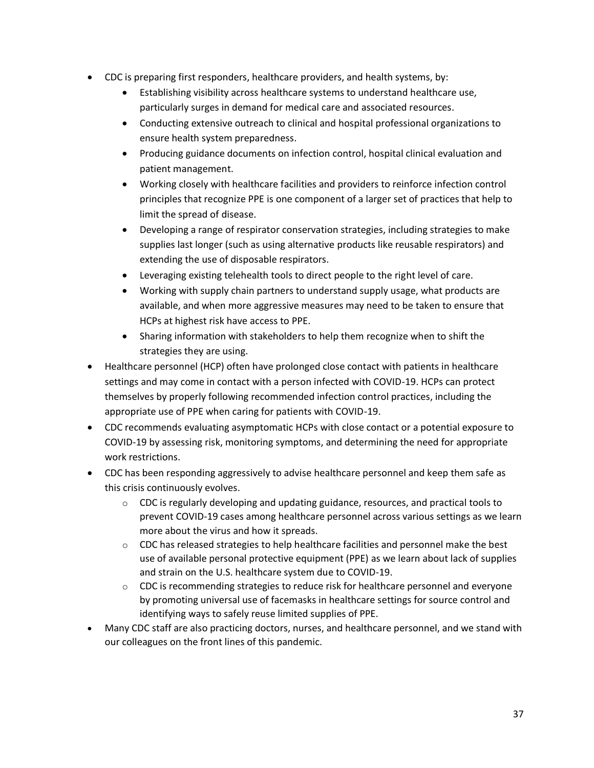- CDC is preparing first responders, healthcare providers, and health systems, by:
	- Establishing visibility across healthcare systems to understand healthcare use, particularly surges in demand for medical care and associated resources.
	- Conducting extensive outreach to clinical and hospital professional organizations to ensure health system preparedness.
	- Producing guidance documents on infection control, hospital clinical evaluation and patient management.
	- Working closely with healthcare facilities and providers to reinforce infection control principles that recognize PPE is one component of a larger set of practices that help to limit the spread of disease.
	- Developing a range of respirator conservation strategies, including strategies to make supplies last longer (such as using alternative products like reusable respirators) and extending the use of disposable respirators.
	- Leveraging existing telehealth tools to direct people to the right level of care.
	- Working with supply chain partners to understand supply usage, what products are available, and when more aggressive measures may need to be taken to ensure that HCPs at highest risk have access to PPE.
	- Sharing information with stakeholders to help them recognize when to shift the strategies they are using.
- Healthcare personnel (HCP) often have prolonged close contact with patients in healthcare settings and may come in contact with a person infected with COVID-19. HCPs can protect themselves by properly following recommended infection control practices, including the appropriate use of PPE when caring for patients with COVID-19.
- CDC recommends evaluating asymptomatic HCPs with close contact or a potential exposure to COVID-19 by assessing risk, monitoring symptoms, and determining the need for appropriate work restrictions.
- CDC has been responding aggressively to advise healthcare personnel and keep them safe as this crisis continuously evolves.
	- $\circ$  CDC is regularly developing and updating guidance, resources, and practical tools to prevent COVID-19 cases among healthcare personnel across various settings as we learn more about the virus and how it spreads.
	- $\circ$  CDC has released strategies to help healthcare facilities and personnel make the best use of available personal protective equipment (PPE) as we learn about lack of supplies and strain on the U.S. healthcare system due to COVID-19.
	- $\circ$  CDC is recommending strategies to reduce risk for healthcare personnel and everyone by promoting universal use of facemasks in healthcare settings for source control and identifying ways to safely reuse limited supplies of PPE.
- Many CDC staff are also practicing doctors, nurses, and healthcare personnel, and we stand with our colleagues on the front lines of this pandemic.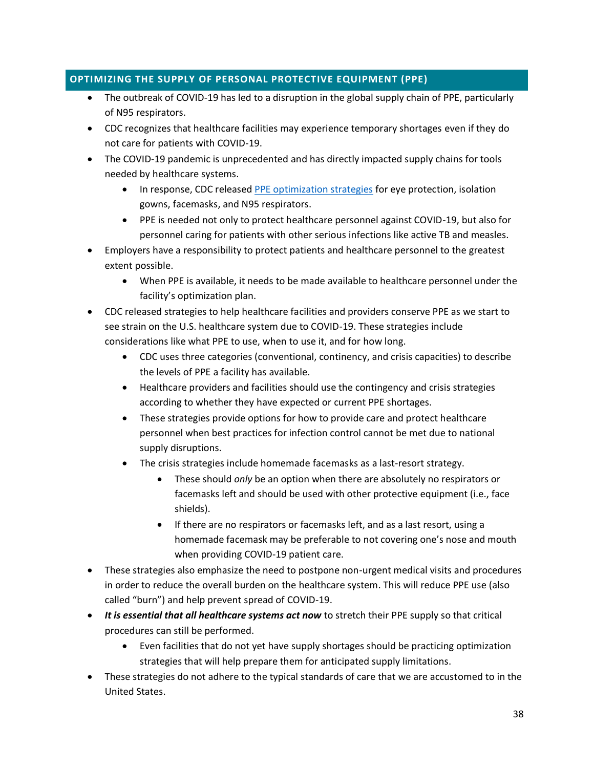# <span id="page-37-0"></span>**OPTIMIZING THE SUPPLY OF PERSONAL PROTECTIVE EQUIPMENT (PPE)**

- The outbreak of COVID-19 has led to a disruption in the global supply chain of PPE, particularly of N95 respirators.
- CDC recognizes that healthcare facilities may experience temporary shortages even if they do not care for patients with COVID-19.
- The COVID-19 pandemic is unprecedented and has directly impacted supply chains for tools needed by healthcare systems.
	- In response, CDC release[d PPE optimization strategies](https://www.cdc.gov/coronavirus/2019-ncov/hcp/ppe-strategy/index.html) for eye protection, isolation gowns, facemasks, and N95 respirators.
	- PPE is needed not only to protect healthcare personnel against COVID-19, but also for personnel caring for patients with other serious infections like active TB and measles.
- Employers have a responsibility to protect patients and healthcare personnel to the greatest extent possible.
	- When PPE is available, it needs to be made available to healthcare personnel under the facility's optimization plan.
- CDC released strategies to help healthcare facilities and providers conserve PPE as we start to see strain on the U.S. healthcare system due to COVID-19. These strategies include considerations like what PPE to use, when to use it, and for how long.
	- CDC uses three categories (conventional, continency, and crisis capacities) to describe the levels of PPE a facility has available.
	- Healthcare providers and facilities should use the contingency and crisis strategies according to whether they have expected or current PPE shortages.
	- These strategies provide options for how to provide care and protect healthcare personnel when best practices for infection control cannot be met due to national supply disruptions.
	- The crisis strategies include homemade facemasks as a last-resort strategy.
		- These should *only* be an option when there are absolutely no respirators or facemasks left and should be used with other protective equipment (i.e., face shields).
		- If there are no respirators or facemasks left, and as a last resort, using a homemade facemask may be preferable to not covering one's nose and mouth when providing COVID-19 patient care.
- These strategies also emphasize the need to postpone non-urgent medical visits and procedures in order to reduce the overall burden on the healthcare system. This will reduce PPE use (also called "burn") and help prevent spread of COVID-19.
- *It is essential that all healthcare systems act now* to stretch their PPE supply so that critical procedures can still be performed.
	- Even facilities that do not yet have supply shortages should be practicing optimization strategies that will help prepare them for anticipated supply limitations.
- These strategies do not adhere to the typical standards of care that we are accustomed to in the United States.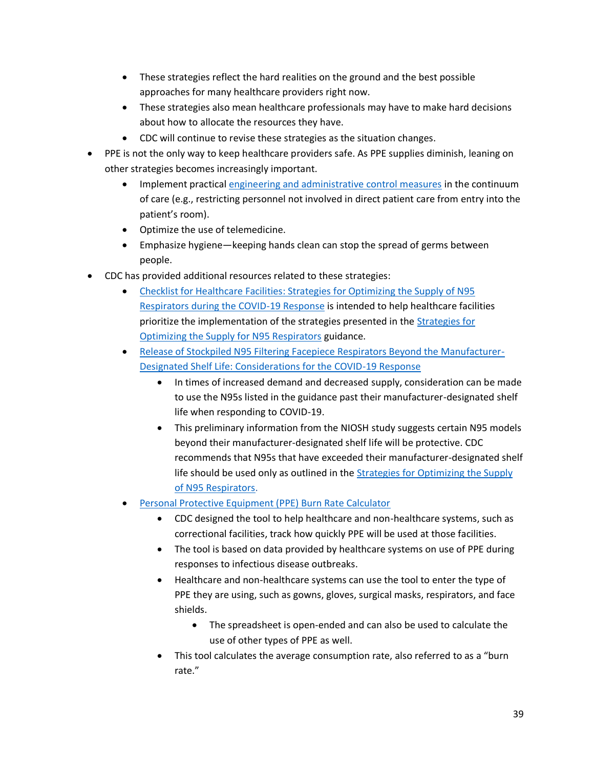- These strategies reflect the hard realities on the ground and the best possible approaches for many healthcare providers right now.
- These strategies also mean healthcare professionals may have to make hard decisions about how to allocate the resources they have.
- CDC will continue to revise these strategies as the situation changes.
- PPE is not the only way to keep healthcare providers safe. As PPE supplies diminish, leaning on other strategies becomes increasingly important.
	- Implement practical [engineering and administrative control measures](https://www.cdc.gov/coronavirus/2019-ncov/hcp/respirators-strategy/conventional-capacity-strategies.html) in the continuum of care (e.g., restricting personnel not involved in direct patient care from entry into the patient's room).
	- Optimize the use of telemedicine.
	- Emphasize hygiene—keeping hands clean can stop the spread of germs between people.
- CDC has provided additional resources related to these strategies:
	- [Checklist for Healthcare Facilities: Strategies for Optimizing the Supply of N95](https://www.cdc.gov/coronavirus/2019-ncov/hcp/checklist-n95-strategy.html)  [Respirators during the COVID-19 Response](https://www.cdc.gov/coronavirus/2019-ncov/hcp/checklist-n95-strategy.html) is intended to help healthcare facilities prioritize the implementation of the strategies presented in the [Strategies for](https://www.cdc.gov/coronavirus/2019-ncov/hcp/respirators-strategy/index.html)  [Optimizing the Supply for N95 Respirators](https://www.cdc.gov/coronavirus/2019-ncov/hcp/respirators-strategy/index.html) guidance.
	- [Release of Stockpiled N95 Filtering Facepiece Respirators Beyond the Manufacturer-](https://www.cdc.gov/coronavirus/2019-ncov/release-stockpiled-N95.html)[Designated Shelf Life: Considerations for the COVID-19 Response](https://www.cdc.gov/coronavirus/2019-ncov/release-stockpiled-N95.html)
		- In times of increased demand and decreased supply, consideration can be made to use the N95s listed in the guidance past their manufacturer-designated shelf life when responding to COVID-19.
		- This preliminary information from the NIOSH study suggests certain N95 models beyond their manufacturer-designated shelf life will be protective. CDC recommends that N95s that have exceeded their manufacturer-designated shelf life should be used only as outlined in the [Strategies for Optimizing](https://www.cdc.gov/coronavirus/2019-ncov/hcp/respirators-strategy/index.html) the Supply [of N95 Respirators.](https://www.cdc.gov/coronavirus/2019-ncov/hcp/respirators-strategy/index.html)
	- [Personal Protective Equipment \(PPE\) Burn Rate Calculator](https://www.cdc.gov/coronavirus/2019-ncov/hcp/ppe-strategy/burn-calculator.html)
		- CDC designed the tool to help healthcare and non-healthcare systems, such as correctional facilities, track how quickly PPE will be used at those facilities.
		- The tool is based on data provided by healthcare systems on use of PPE during responses to infectious disease outbreaks.
		- Healthcare and non-healthcare systems can use the tool to enter the type of PPE they are using, such as gowns, gloves, surgical masks, respirators, and face shields.
			- The spreadsheet is open-ended and can also be used to calculate the use of other types of PPE as well.
		- This tool calculates the average consumption rate, also referred to as a "burn rate."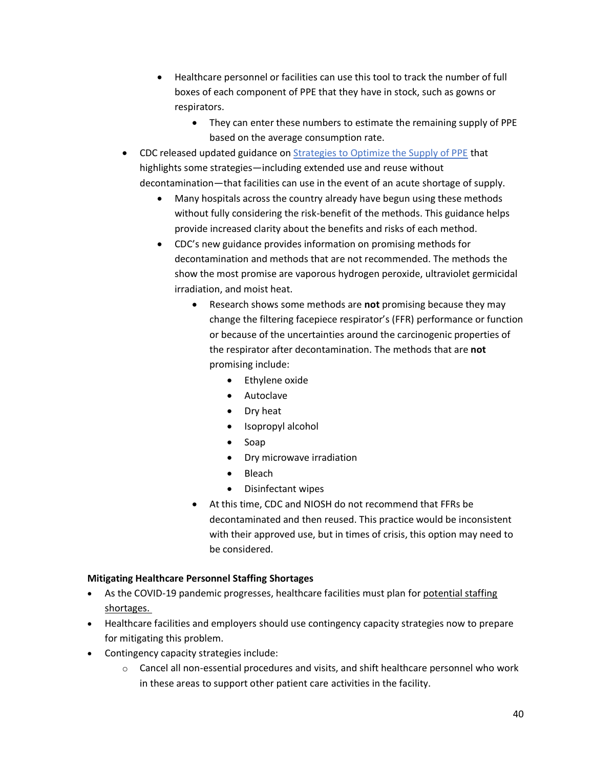- Healthcare personnel or facilities can use this tool to track the number of full boxes of each component of PPE that they have in stock, such as gowns or respirators.
	- They can enter these numbers to estimate the remaining supply of PPE based on the average consumption rate.
- CDC released updated guidance o[n Strategies to Optimize the Supply of PPE](https://www.cdc.gov/coronavirus/2019-ncov/hcp/ppe-strategy/index.html) that highlights some strategies—including extended use and reuse without decontamination—that facilities can use in the event of an acute shortage of supply.
	- Many hospitals across the country already have begun using these methods without fully considering the risk-benefit of the methods. This guidance helps provide increased clarity about the benefits and risks of each method.
	- CDC's new guidance provides information on promising methods for decontamination and methods that are not recommended. The methods the show the most promise are vaporous hydrogen peroxide, ultraviolet germicidal irradiation, and moist heat.
		- Research shows some methods are **not** promising because they may change the filtering facepiece respirator's (FFR) performance or function or because of the uncertainties around the carcinogenic properties of the respirator after decontamination. The methods that are **not**  promising include:
			- Ethylene oxide
			- Autoclave
			- Dry heat
			- Isopropyl alcohol
			- Soap
			- Dry microwave irradiation
			- Bleach
			- Disinfectant wipes
		- At this time, CDC and NIOSH do not recommend that FFRs be decontaminated and then reused. This practice would be inconsistent with their approved use, but in times of crisis, this option may need to be considered.

# **Mitigating Healthcare Personnel Staffing Shortages**

- As the COVID-19 pandemic progresses, healthcare facilities must plan for [potential staffing](https://www.cdc.gov/coronavirus/2019-ncov/hcp/mitigating-staff-shortages.html)  [shortages.](https://www.cdc.gov/coronavirus/2019-ncov/hcp/mitigating-staff-shortages.html)
- Healthcare facilities and employers should use contingency capacity strategies now to prepare for mitigating this problem.
- Contingency capacity strategies include:
	- $\circ$  Cancel all non-essential procedures and visits, and shift healthcare personnel who work in these areas to support other patient care activities in the facility.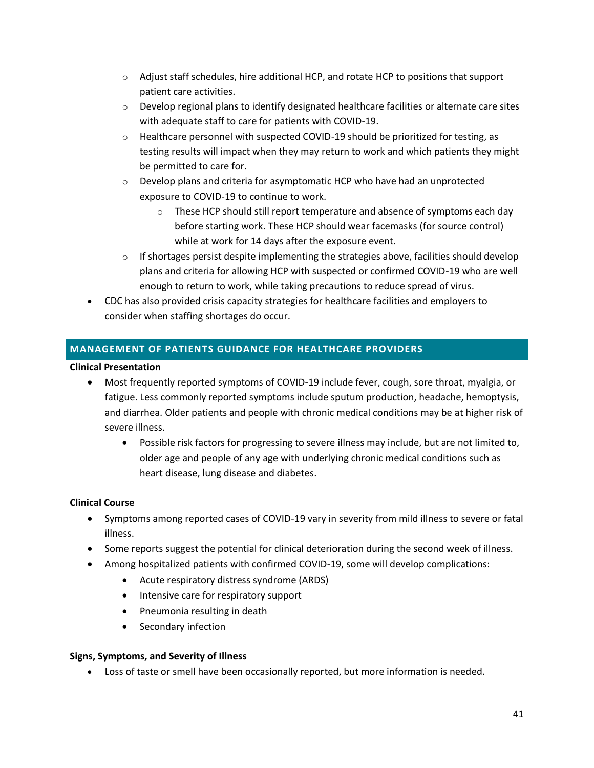- $\circ$  Adjust staff schedules, hire additional HCP, and rotate HCP to positions that support patient care activities.
- $\circ$  Develop regional plans to identify designated healthcare facilities or alternate care sites with adequate staff to care for patients with COVID-19.
- $\circ$  Healthcare personnel with suspected COVID-19 should be prioritized for testing, as testing results will impact when they may return to work and which patients they might be permitted to care for.
- o Develop plans and criteria for asymptomatic HCP who have had an unprotected exposure to COVID-19 to continue to work.
	- $\circ$  These HCP should still report temperature and absence of symptoms each day before starting work. These HCP should wear facemasks (for source control) while at work for 14 days after the exposure event.
- $\circ$  If shortages persist despite implementing the strategies above, facilities should develop plans and criteria for allowing HCP with suspected or confirmed COVID-19 who are well enough to return to work, while taking precautions to reduce spread of virus.
- CDC has also provided crisis capacity strategies for healthcare facilities and employers to consider when staffing shortages do occur.

# <span id="page-40-0"></span>**MANAGEMENT OF PATIENTS GUIDANCE FOR HEALTHCARE PROVIDERS**

#### **Clinical Presentation**

- Most frequently reported symptoms of COVID-19 include fever, cough, sore throat, myalgia, or fatigue. Less commonly reported symptoms include sputum production, headache, hemoptysis, and diarrhea. Older patients and people with chronic medical conditions may be at higher risk of severe illness.
	- Possible risk factors for progressing to severe illness may include, but are not limited to, older age and people of any age with underlying chronic medical conditions such as heart disease, lung disease and diabetes.

# **Clinical Course**

- Symptoms among reported cases of COVID-19 vary in severity from mild illness to severe or fatal illness.
- Some reports suggest the potential for clinical deterioration during the second week of illness.
- Among hospitalized patients with confirmed COVID-19, some will develop complications:
	- Acute respiratory distress syndrome (ARDS)
	- Intensive care for respiratory support
	- Pneumonia resulting in death
	- Secondary infection

#### **Signs, Symptoms, and Severity of Illness**

• Loss of taste or smell have been occasionally reported, but more information is needed.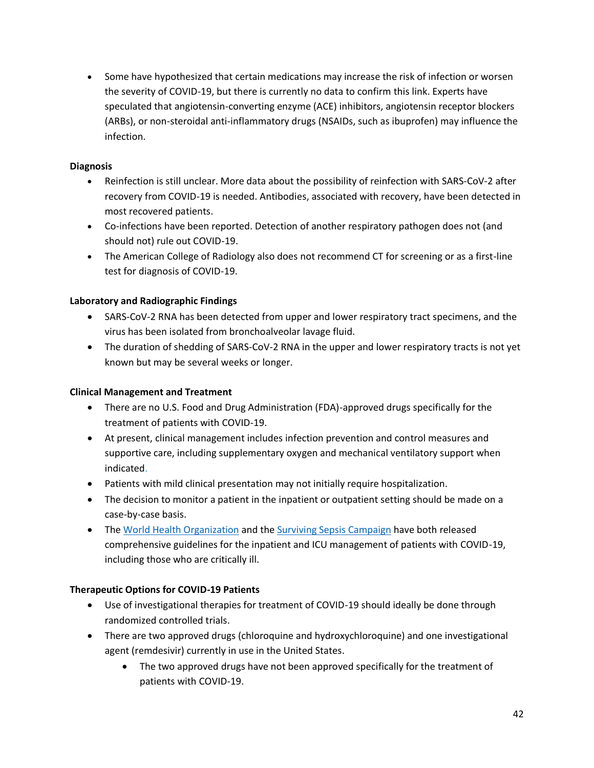• Some have hypothesized that certain medications may increase the risk of infection or worsen the severity of COVID-19, but there is currently no data to confirm this link. Experts have speculated that angiotensin-converting enzyme (ACE) inhibitors, angiotensin receptor blockers (ARBs), or non-steroidal anti-inflammatory drugs (NSAIDs, such as ibuprofen) may influence the infection.

# **Diagnosis**

- Reinfection is still unclear. More data about the possibility of reinfection with SARS-CoV-2 after recovery from COVID-19 is needed. Antibodies, associated with recovery, have been detected in most recovered patients.
- Co-infections have been reported. Detection of another respiratory pathogen does not (and should not) rule out COVID-19.
- The American College of Radiology also does not recommend CT for screening or as a first-line test for diagnosis of COVID-19.

# **Laboratory and Radiographic Findings**

- SARS-CoV-2 RNA has been detected from upper and lower respiratory tract specimens, and the virus has been isolated from bronchoalveolar lavage fluid.
- The duration of shedding of SARS-CoV-2 RNA in the upper and lower respiratory tracts is not yet known but may be several weeks or longer.

#### **Clinical Management and Treatment**

- There are no U.S. Food and Drug Administration (FDA)-approved drugs specifically for the treatment of patients with COVID-19.
- At present, clinical management includes infection prevention and control measures and supportive care, including supplementary oxygen and mechanical ventilatory support when indicated.
- Patients with mild clinical presentation may not initially require hospitalization.
- The decision to monitor a patient in the inpatient or outpatient setting should be made on a case-by-case basis.
- The [World Health Organization](https://www.who.int/emergencies/diseases/novel-coronavirus-2019/technical-guidance/patient-management) and the [Surviving Sepsis Campaign](https://www.sccm.org/SurvivingSepsisCampaign/Guidelines/COVID-19) have both released comprehensive guidelines for the inpatient and ICU management of patients with COVID-19, including those who are critically ill.

#### **Therapeutic Options for COVID-19 Patients**

- Use of investigational therapies for treatment of COVID-19 should ideally be done through randomized controlled trials.
- There are two approved drugs (chloroquine and hydroxychloroquine) and one investigational agent (remdesivir) currently in use in the United States.
	- The two approved drugs have not been approved specifically for the treatment of patients with COVID-19.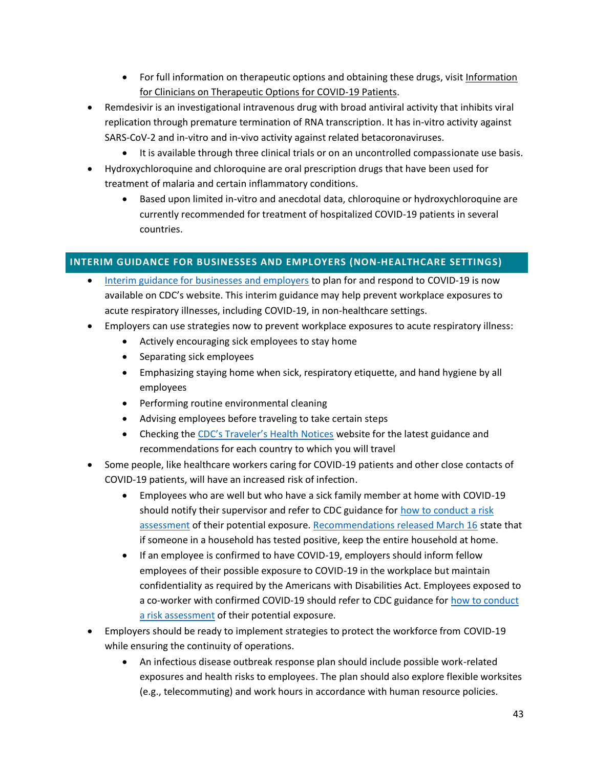- For full information on therapeutic options and obtaining these drugs, visit Information [for Clinicians on Therapeutic Options for COVID-19 Patients.](https://www.cdc.gov/coronavirus/2019-ncov/hcp/therapeutic-options.html/)
- Remdesivir is an investigational intravenous drug with broad antiviral activity that inhibits viral replication through premature termination of RNA transcription. It has in-vitro activity against SARS-CoV-2 and in-vitro and in-vivo activity against related betacoronaviruses.
	- It is available through three clinical trials or on an uncontrolled compassionate use basis.
- Hydroxychloroquine and chloroquine are oral prescription drugs that have been used for treatment of malaria and certain inflammatory conditions.
	- Based upon limited in-vitro and anecdotal data, chloroquine or hydroxychloroquine are currently recommended for treatment of hospitalized COVID-19 patients in several countries.

#### <span id="page-42-0"></span>**INTERIM GUIDANCE FOR BUSINESSES AND EMPLOYERS (NON-HEALTHCARE SETTINGS)**

- [Interim guidance for businesses and employers](https://www.cdc.gov/coronavirus/2019-ncov/guidance-business-response.html) to plan for and respond to COVID-19 is now available on CDC's website. This interim guidance may help prevent workplace exposures to acute respiratory illnesses, including COVID-19, in non-healthcare settings.
- Employers can use strategies now to prevent workplace exposures to acute respiratory illness:
	- Actively encouraging sick employees to stay home
	- Separating sick employees
	- Emphasizing staying home when sick, respiratory etiquette, and hand hygiene by all employees
	- Performing routine environmental cleaning
	- Advising employees before traveling to take certain steps
	- Checking the [CDC's Traveler's Health Notices](https://wwwnc.cdc.gov/travel/notices/) website for the latest guidance and recommendations for each country to which you will travel
- Some people, like healthcare workers caring for COVID-19 patients and other close contacts of COVID-19 patients, will have an increased risk of infection.
	- Employees who are well but who have a sick family member at home with COVID-19 should notify their supervisor and refer to CDC guidance for how to conduct a risk [assessment](https://www.cdc.gov/coronavirus/2019-ncov/php/risk-assessment.html) of their potential exposure. [Recommendations released March 16](https://www.whitehouse.gov/wp-content/uploads/2020/03/03.16.20_coronavirus-guidance_8.5x11_315PM.pdf) state that if someone in a household has tested positive, keep the entire household at home.
	- If an employee is confirmed to have COVID-19, employers should inform fellow employees of their possible exposure to COVID-19 in the workplace but maintain confidentiality as required by the Americans with Disabilities Act. Employees exposed to a co-worker with confirmed COVID-19 should refer to CDC guidance for how to conduct a risk [assessment](https://www.cdc.gov/coronavirus/2019-ncov/php/risk-assessment.html) of their potential exposure.
- Employers should be ready to implement strategies to protect the workforce from COVID-19 while ensuring the continuity of operations.
	- An infectious disease outbreak response plan should include possible work-related exposures and health risks to employees. The plan should also explore flexible worksites (e.g., telecommuting) and work hours in accordance with human resource policies.